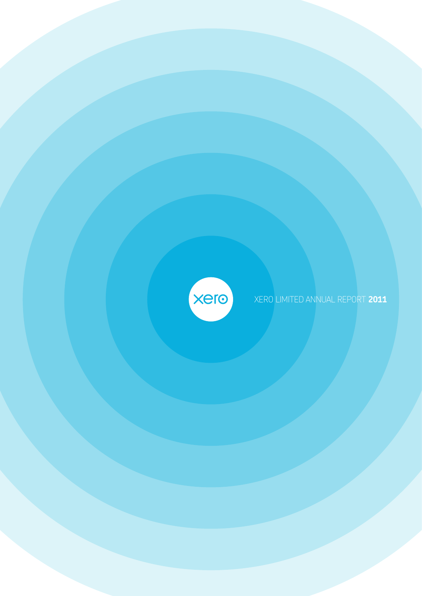

XERO LIMITED ANNUAL REPORT **2011**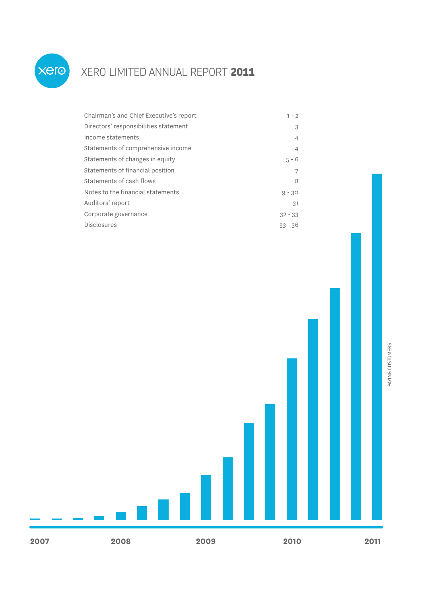

## XERO LIMITED ANNUAL REPORT **2011**

| Chairman's and Chief Executive's report | $1 - 2$        |
|-----------------------------------------|----------------|
| Directors' responsibilities statement   | 3              |
| Income statements                       | 4              |
| Statements of comprehensive income      | $\overline{4}$ |
| Statements of changes in equity         | $5 - 6$        |
| Statements of financial position        |                |
| Statements of cash flows                | 8              |
| Notes to the financial statements       | $9 - 30$       |
| Auditors' report                        | .31            |
| Corporate governance                    | $32 - 33$      |
| <b>Disclosures</b>                      | $33 - 36$      |

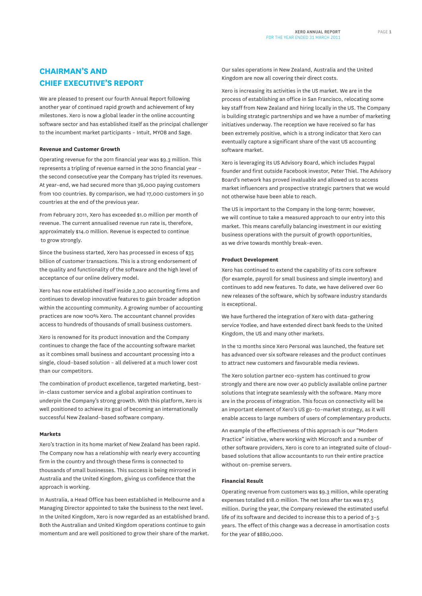## **CHAIRMAN'S AND CHIEF EXECUTIVE'S REPORT**

We are pleased to present our fourth Annual Report following another year of continued rapid growth and achievement of key milestones. Xero is now a global leader in the online accounting software sector and has established itself as the principal challenger to the incumbent market participants – Intuit, MYOB and Sage.

#### **Revenue and Customer Growth**

Operating revenue for the 2011 financial year was \$9.3 million. This represents a tripling of revenue earned in the 2010 financial year – the second consecutive year the Company has tripled its revenues. At year–end, we had secured more than 36,000 paying customers from 100 countries. By comparison, we had 17,000 customers in 50 countries at the end of the previous year.

From February 2011, Xero has exceeded \$1.0 million per month of revenue. The current annualised revenue run rate is, therefore, approximately \$14.0 million. Revenue is expected to continue to grow strongly.

Since the business started, Xero has processed in excess of \$35 billion of customer transactions. This is a strong endorsement of the quality and functionality of the software and the high level of acceptance of our online delivery model.

Xero has now established itself inside 2,200 accounting firms and continues to develop innovative features to gain broader adoption within the accounting community. A growing number of accounting practices are now 100% Xero. The accountant channel provides access to hundreds of thousands of small business customers.

Xero is renowned for its product innovation and the Company continues to change the face of the accounting software market as it combines small business and accountant processing into a single, cloud–based solution – all delivered at a much lower cost than our competitors.

The combination of product excellence, targeted marketing, best– in–class customer service and a global aspiration continues to underpin the Company's strong growth. With this platform, Xero is well positioned to achieve its goal of becoming an internationally successful New Zealand–based software company.

#### **Markets**

Xero's traction in its home market of New Zealand has been rapid. The Company now has a relationship with nearly every accounting firm in the country and through these firms is connected to thousands of small businesses. This success is being mirrored in Australia and the United Kingdom, giving us confidence that the approach is working.

In Australia, a Head Office has been established in Melbourne and a Managing Director appointed to take the business to the next level. In the United Kingdom, Xero is now regarded as an established brand. Both the Australian and United Kingdom operations continue to gain momentum and are well positioned to grow their share of the market.

Our sales operations in New Zealand, Australia and the United Kingdom are now all covering their direct costs.

Xero is increasing its activities in the US market. We are in the process of establishing an office in San Francisco, relocating some key staff from New Zealand and hiring locally in the US. The Company is building strategic partnerships and we have a number of marketing initiatives underway. The reception we have received so far has been extremely positive, which is a strong indicator that Xero can eventually capture a significant share of the vast US accounting software market.

Xero is leveraging its US Advisory Board, which includes Paypal founder and first outside Facebook investor, Peter Thiel. The Advisory Board's network has proved invaluable and allowed us to access market influencers and prospective strategic partners that we would not otherwise have been able to reach.

The US is important to the Company in the long-term; however, we will continue to take a measured approach to our entry into this market. This means carefully balancing investment in our existing business operations with the pursuit of growth opportunities, as we drive towards monthly break–even.

#### **Product Development**

Xero has continued to extend the capability of its core software (for example, payroll for small business and simple inventory) and continues to add new features. To date, we have delivered over 60 new releases of the software, which by software industry standards is exceptional.

We have furthered the integration of Xero with data–gathering service Yodlee, and have extended direct bank feeds to the United Kingdom, the US and many other markets.

In the 12 months since Xero Personal was launched, the feature set has advanced over six software releases and the product continues to attract new customers and favourable media reviews.

The Xero solution partner eco–system has continued to grow strongly and there are now over 40 publicly available online partner solutions that integrate seamlessly with the software. Many more are in the process of integration. This focus on connectivity will be an important element of Xero's US go–to–market strategy, as it will enable access to large numbers of users of complementary products.

An example of the effectiveness of this approach is our "Modern Practice" initiative, where working with Microsoft and a number of other software providers, Xero is core to an integrated suite of cloud– based solutions that allow accountants to run their entire practice without on–premise servers.

#### **Financial Result**

Operating revenue from customers was \$9.3 million, while operating expenses totalled \$18.0 million. The net loss after tax was \$7.5 million. During the year, the Company reviewed the estimated useful life of its software and decided to increase this to a period of  $3-5$ years. The effect of this change was a decrease in amortisation costs for the year of \$880,000.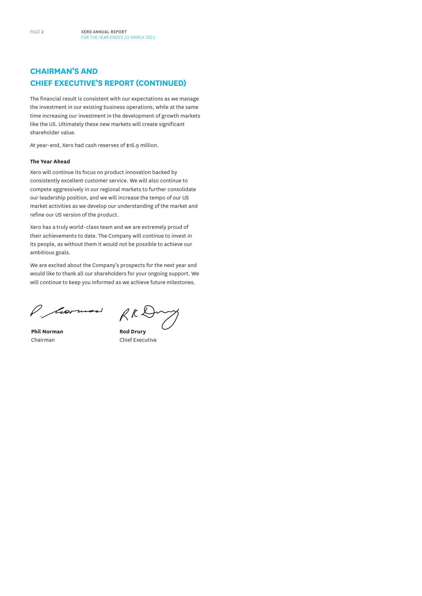## **CHAIRMAN'S AND CHIEF EXECUTIVE'S REPORT (CONTINUED)**

The financial result is consistent with our expectations as we manage the investment in our existing business operations, while at the same time increasing our investment in the development of growth markets like the US. Ultimately these new markets will create significant shareholder value.

At year–end, Xero had cash reserves of \$16.9 million.

#### **The Year Ahead**

Xero will continue its focus on product innovation backed by consistently excellent customer service. We will also continue to compete aggressively in our regional markets to further consolidate our leadership position, and we will increase the tempo of our US market activities as we develop our understanding of the market and refine our US version of the product.

Xero has a truly world–class team and we are extremely proud of their achievements to date. The Company will continue to invest in its people, as without them it would not be possible to achieve our ambitious goals.

We are excited about the Company's prospects for the next year and would like to thank all our shareholders for your ongoing support. We will continue to keep you informed as we achieve future milestones.

P. Mormon

RKD

**Phil Norman** Chairman

**Rod Drury** Chief Executive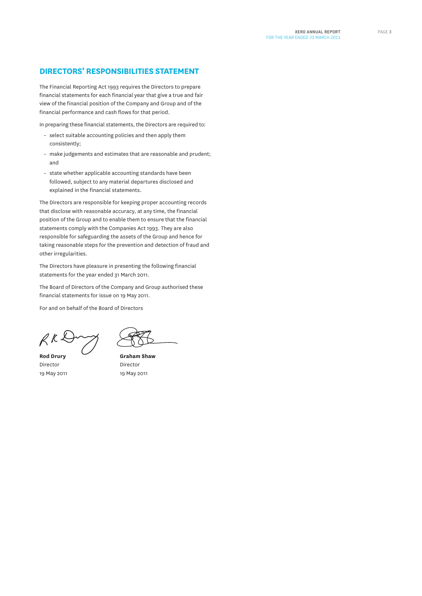## **DIRECTORS' RESPONSIBILITIES STATEMENT**

The Financial Reporting Act 1993 requires the Directors to prepare financial statements for each financial year that give a true and fair view of the financial position of the Company and Group and of the financial performance and cash flows for that period.

In preparing these financial statements, the Directors are required to:

- select suitable accounting policies and then apply them consistently;
- make judgements and estimates that are reasonable and prudent; and
- state whether applicable accounting standards have been followed, subject to any material departures disclosed and explained in the financial statements.

The Directors are responsible for keeping proper accounting records that disclose with reasonable accuracy, at any time, the financial position of the Group and to enable them to ensure that the financial statements comply with the Companies Act 1993. They are also responsible for safeguarding the assets of the Group and hence for taking reasonable steps for the prevention and detection of fraud and other irregularities.

The Directors have pleasure in presenting the following financial statements for the year ended 31 March 2011.

The Board of Directors of the Company and Group authorised these financial statements for issue on 19 May 2011.

For and on behalf of the Board of Directors

**Rod Drury** Director 19 May 2011

**Graham Shaw** Director 19 May 2011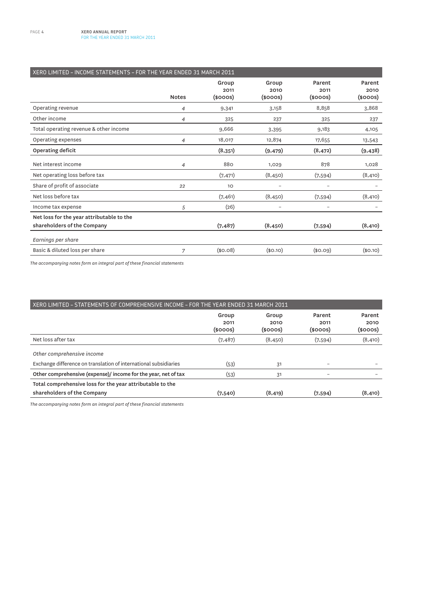| XERO LIMITED - INCOME STATEMENTS - FOR THE YEAR ENDED 31 MARCH 2011 |              |                                |                                |                                 |                                 |  |  |
|---------------------------------------------------------------------|--------------|--------------------------------|--------------------------------|---------------------------------|---------------------------------|--|--|
|                                                                     | <b>Notes</b> | Group<br>2011<br>$(s$ ooos $)$ | Group<br>2010<br>$(s$ ooos $)$ | Parent<br>2011<br>$(s$ ooos $)$ | Parent<br>2010<br>$(s$ ooos $)$ |  |  |
| Operating revenue                                                   | 4            | 9,341                          | 3,158                          | 8,858                           | 3,868                           |  |  |
| Other income                                                        | 4            | 325                            | 237                            | 325                             | 237                             |  |  |
| Total operating revenue & other income                              |              | 9,666                          | 3,395                          | 9,183                           | 4,105                           |  |  |
| Operating expenses                                                  | 4            | 18,017                         | 12,874                         | 17,655                          | 13,543                          |  |  |
| Operating deficit                                                   |              | (8,351)                        | (9, 479)                       | (8, 472)                        | (9, 438)                        |  |  |
| Net interest income                                                 | 4            | 880                            | 1,029                          | 878                             | 1,028                           |  |  |
| Net operating loss before tax                                       |              | (7, 471)                       | (8, 450)                       | (7,594)                         | (8, 410)                        |  |  |
| Share of profit of associate                                        | 22           | 10                             |                                | $\overline{\phantom{0}}$        |                                 |  |  |
| Net loss before tax                                                 |              | (7, 461)                       | (8, 450)                       | (7,594)                         | (8, 410)                        |  |  |
| Income tax expense                                                  | 5            | (26)                           |                                |                                 |                                 |  |  |
| Net loss for the year attributable to the                           |              |                                |                                |                                 |                                 |  |  |
| shareholders of the Company                                         |              | (7, 487)                       | (8, 450)                       | (7,594)                         | (8, 410)                        |  |  |
| Earnings per share                                                  |              |                                |                                |                                 |                                 |  |  |
| Basic & diluted loss per share                                      | 7            | (\$0.08)                       | (\$0.10)                       | \$0.09                          | (\$0.10)                        |  |  |

*The accompanying notes form an integral part of these financial statements*

| XERO LIMITED - STATEMENTS OF COMPREHENSIVE INCOME - FOR THE YEAR ENDED 31 MARCH 2011 |                                |                                |                                 |                            |  |  |
|--------------------------------------------------------------------------------------|--------------------------------|--------------------------------|---------------------------------|----------------------------|--|--|
|                                                                                      | Group<br>2011<br>$(s$ ooos $)$ | Group<br>2010<br>$(s$ ooos $)$ | Parent<br>2011<br>$(s$ ooos $)$ | Parent<br>2010<br>(\$000S) |  |  |
| Net loss after tax                                                                   | (7, 487)                       | (8, 450)                       | (7,594)                         | (8, 410)                   |  |  |
| Other comprehensive income                                                           |                                |                                |                                 |                            |  |  |
| Exchange difference on translation of international subsidiaries                     | (53)                           | 31                             |                                 |                            |  |  |
| Other comprehensive (expense)/ income for the year, net of tax                       | (53)                           | 31                             | $\overline{\phantom{0}}$        |                            |  |  |
| Total comprehensive loss for the year attributable to the                            |                                |                                |                                 |                            |  |  |
| shareholders of the Company                                                          | (7,540)                        | (8, 419)                       | (7,594)                         | (8, 410)                   |  |  |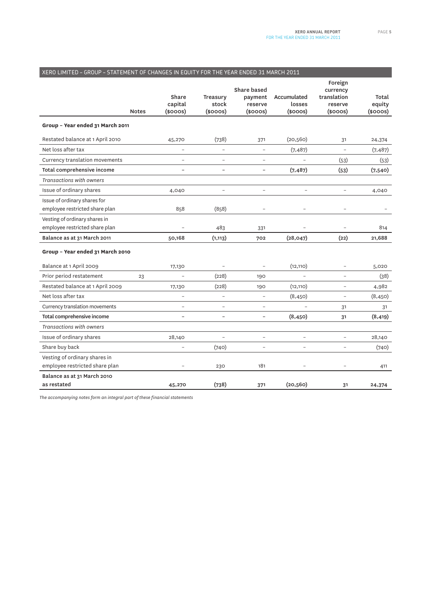| XERO LIMITED - GROUP - STATEMENT OF CHANGES IN EQUITY FOR THE YEAR ENDED 31 MARCH 2011 |              |                                   |                                    |                                                           |                                        |                                                                |                                  |  |
|----------------------------------------------------------------------------------------|--------------|-----------------------------------|------------------------------------|-----------------------------------------------------------|----------------------------------------|----------------------------------------------------------------|----------------------------------|--|
|                                                                                        | <b>Notes</b> | Share<br>capital<br>$(s$ ooos $)$ | Treasury<br>stock<br>$(s$ ooos $)$ | <b>Share based</b><br>payment<br>reserve<br>$(s$ ooos $)$ | Accumulated<br>losses<br>$(s$ ooos $)$ | Foreign<br>currency<br>translation<br>reserve<br>$(s$ ooos $)$ | Total<br>equity<br>$(s$ ooos $)$ |  |
| Group - Year ended 31 March 2011                                                       |              |                                   |                                    |                                                           |                                        |                                                                |                                  |  |
| Restated balance at 1 April 2010                                                       |              | 45,270                            | (738)                              | 371                                                       | (20, 560)                              | 31                                                             | 24,374                           |  |
| Net loss after tax                                                                     |              | $\overline{a}$                    | $\overline{a}$                     | $\overline{a}$                                            | (7, 487)                               | $\overline{a}$                                                 | (7, 487)                         |  |
| Currency translation movements                                                         |              |                                   |                                    | $\overline{a}$                                            |                                        | (53)                                                           | (53)                             |  |
| Total comprehensive income                                                             |              | $\overline{\phantom{0}}$          | $\overline{\phantom{0}}$           | $\overline{\phantom{0}}$                                  | (7, 487)                               | (53)                                                           | (7,540)                          |  |
| <b>Transactions with owners</b>                                                        |              |                                   |                                    |                                                           |                                        |                                                                |                                  |  |
| Issue of ordinary shares                                                               |              | 4,040                             |                                    | $\overline{a}$                                            |                                        | $\overline{a}$                                                 | 4,040                            |  |
| Issue of ordinary shares for                                                           |              |                                   |                                    |                                                           |                                        |                                                                |                                  |  |
| employee restricted share plan                                                         |              | 858                               | (858)                              | $\overline{a}$                                            | $\overline{\phantom{0}}$               | $\overline{\phantom{0}}$                                       |                                  |  |
| Vesting of ordinary shares in                                                          |              |                                   |                                    |                                                           |                                        |                                                                |                                  |  |
| employee restricted share plan                                                         |              |                                   | 483                                | 331                                                       |                                        |                                                                | 814                              |  |
| Balance as at 31 March 2011                                                            |              | 50,168                            | (1, 113)                           | 702                                                       | (28, 047)                              | (22)                                                           | 21,688                           |  |
| Group - Year ended 31 March 2010                                                       |              |                                   |                                    |                                                           |                                        |                                                                |                                  |  |
| Balance at 1 April 2009                                                                |              | 17,130                            |                                    | $\overline{a}$                                            | (12, 110)                              | $\overline{a}$                                                 | 5,020                            |  |
| Prior period restatement                                                               | 23           |                                   | (228)                              | 190                                                       |                                        | $\overline{a}$                                                 | (38)                             |  |
| Restated balance at 1 April 2009                                                       |              | 17,130                            | (228)                              | 190                                                       | (12, 110)                              | $\overline{a}$                                                 | 4,982                            |  |
| Net loss after tax                                                                     |              | $\overline{\phantom{0}}$          | $\overline{a}$                     | $\overline{\phantom{0}}$                                  | (8,450)                                | $\overline{a}$                                                 | (8,450)                          |  |
| Currency translation movements                                                         |              | $\overline{a}$                    | $\overline{a}$                     | $\overline{a}$                                            |                                        | 31                                                             | 31                               |  |
| Total comprehensive income                                                             |              | $\overline{\phantom{a}}$          | $\overline{\phantom{0}}$           | $\overline{\phantom{0}}$                                  | (8, 450)                               | 31                                                             | (8, 419)                         |  |
| Transactions with owners                                                               |              |                                   |                                    |                                                           |                                        |                                                                |                                  |  |
| Issue of ordinary shares                                                               |              | 28,140                            | $\overline{a}$                     | $\overline{a}$                                            | $\overline{a}$                         | $\overline{\phantom{0}}$                                       | 28,140                           |  |
| Share buy back                                                                         |              |                                   | (740)                              | $\overline{a}$                                            | $\overline{a}$                         | $\overline{a}$                                                 | (740)                            |  |
| Vesting of ordinary shares in                                                          |              |                                   |                                    |                                                           |                                        |                                                                |                                  |  |
| employee restricted share plan                                                         |              |                                   | 230                                | 181                                                       |                                        |                                                                | 411                              |  |
| Balance as at 31 March 2010                                                            |              |                                   |                                    |                                                           |                                        |                                                                |                                  |  |
| as restated                                                                            |              | 45,270                            | (738)                              | 371                                                       | (20, 560)                              | 31                                                             | 24,374                           |  |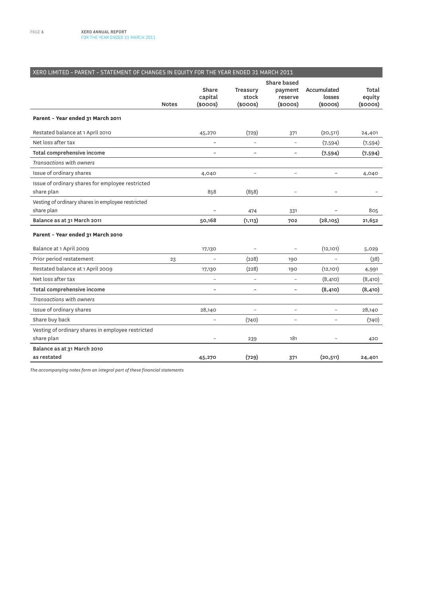## XERO LIMITED – PARENT – STATEMENT OF CHANGES IN EQUITY FOR THE YEAR ENDED 31 MARCH 2011

|                                                   |              |                          |                          | <b>Share based</b>       |                          |                 |  |
|---------------------------------------------------|--------------|--------------------------|--------------------------|--------------------------|--------------------------|-----------------|--|
|                                                   |              | Share<br>capital         | Treasury<br>stock        | payment<br>reserve       | Accumulated<br>losses    | Total<br>equity |  |
|                                                   | <b>Notes</b> | $(s$ ooos $)$            | $(s$ ooos $)$            | $(s$ ooos $)$            | $(s$ ooos $)$            | $(s$ ooos $)$   |  |
| Parent - Year ended 31 March 2011                 |              |                          |                          |                          |                          |                 |  |
| Restated balance at 1 April 2010                  |              | 45,270                   | (729)                    | 371                      | (20, 511)                | 24,401          |  |
| Net loss after tax                                |              | $\overline{\phantom{0}}$ | $\overline{\phantom{a}}$ | $\overline{a}$           | (7,594)                  | (7,594)         |  |
| Total comprehensive income                        |              |                          |                          | $\overline{\phantom{0}}$ | (7,594)                  | (7,594)         |  |
| <b>Transactions with owners</b>                   |              |                          |                          |                          |                          |                 |  |
| Issue of ordinary shares                          |              | 4,040                    | $\overline{a}$           | $\overline{a}$           | $\overline{\phantom{0}}$ | 4,040           |  |
| Issue of ordinary shares for employee restricted  |              |                          |                          |                          |                          |                 |  |
| share plan                                        |              | 858                      | (858)                    | $\overline{\phantom{0}}$ |                          |                 |  |
| Vesting of ordinary shares in employee restricted |              |                          |                          |                          |                          |                 |  |
| share plan                                        |              | $\overline{a}$           | 474                      | 331                      |                          | 805             |  |
| Balance as at 31 March 2011                       |              | 50,168                   | (1, 113)                 | 702                      | (28, 105)                | 21,652          |  |
| Parent - Year ended 31 March 2010                 |              |                          |                          |                          |                          |                 |  |
| Balance at 1 April 2009                           |              | 17,130                   |                          | $\qquad \qquad -$        | (12, 101)                | 5,029           |  |
| Prior period restatement                          | 23           | $\overline{\phantom{0}}$ | (228)                    | 190                      | $\overline{a}$           | (38)            |  |
| Restated balance at 1 April 2009                  |              | 17,130                   | (228)                    | 190                      | (12, 101)                | 4,991           |  |
| Net loss after tax                                |              | $\overline{a}$           | $\overline{a}$           | $\overline{a}$           | (8, 410)                 | (8, 410)        |  |
| Total comprehensive income                        |              | $\overline{\phantom{0}}$ |                          |                          | (8, 410)                 | (8, 410)        |  |
| <b>Transactions with owners</b>                   |              |                          |                          |                          |                          |                 |  |
| Issue of ordinary shares                          |              | 28,140                   | $\overline{a}$           |                          | Ξ.                       | 28,140          |  |
| Share buy back                                    |              | $\overline{\phantom{0}}$ | (740)                    | ۳                        |                          | (740)           |  |
| Vesting of ordinary shares in employee restricted |              |                          |                          |                          |                          |                 |  |
| share plan                                        |              |                          | 239                      | 181                      |                          | 420             |  |
| Balance as at 31 March 2010                       |              |                          |                          |                          |                          |                 |  |
| as restated                                       |              | 45,270                   | (729)                    | 371                      | (20, 511)                | 24,401          |  |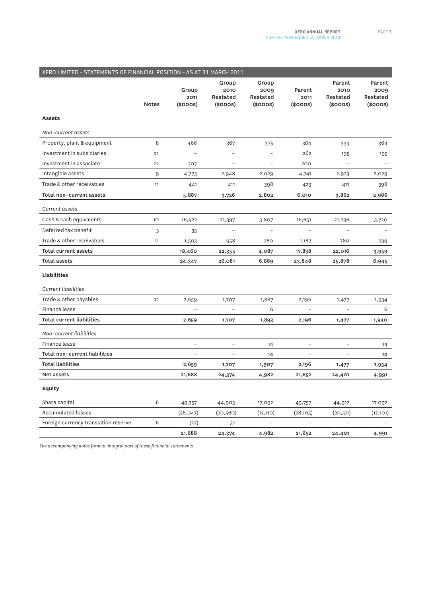| XERO LIMITED - STATEMENTS OF FINANCIAL POSITION - AS AT 31 MARCH 2011 |              |                           |                                            |                                            |                                 |                                        |                                             |
|-----------------------------------------------------------------------|--------------|---------------------------|--------------------------------------------|--------------------------------------------|---------------------------------|----------------------------------------|---------------------------------------------|
|                                                                       | <b>Notes</b> | Group<br>2011<br>(\$000S) | Group<br>2010<br>Restated<br>$(s$ ooos $)$ | Group<br>2009<br>Restated<br>$(s$ ooos $)$ | Parent<br>2011<br>$(s$ ooos $)$ | Parent<br>2010<br>Restated<br>(\$000S) | Parent<br>2009<br>Restated<br>$(s$ ooos $)$ |
| <b>Assets</b>                                                         |              |                           |                                            |                                            |                                 |                                        |                                             |
| Non-current assets                                                    |              |                           |                                            |                                            |                                 |                                        |                                             |
| Property, plant & equipment                                           | 8            | 466                       | 367                                        | 375                                        | 384                             | 333                                    | 364                                         |
| Investment in subsidiaries                                            | 21           |                           | $\overline{a}$                             | $\overline{a}$                             | 262                             | 195                                    | 195                                         |
| Investment in associate                                               | 22           | 207                       | $\overline{\phantom{a}}$                   | $\qquad \qquad -$                          | 200                             |                                        |                                             |
| Intangible assets                                                     | 9            | 4,773                     | 2,948                                      | 2,029                                      | 4,741                           | 2,923                                  | 2,029                                       |
| Trade & other receivables                                             | 11           | 441                       | 411                                        | 398                                        | 423                             | 411                                    | 398                                         |
| Total non-current assets                                              |              | 5,887                     | 3,726                                      | 2,802                                      | 6,010                           | 3,862                                  | 2,986                                       |
| <b>Current</b> assets                                                 |              |                           |                                            |                                            |                                 |                                        |                                             |
| Cash & cash equivalents                                               | 10           | 16,922                    | 21,397                                     | 3,807                                      | 16,651                          | 21,236                                 | 3,720                                       |
| Deferred tax benefit                                                  | 5            | 35                        |                                            |                                            |                                 |                                        |                                             |
| Trade & other receivables                                             | 11           | 1,503                     | 958                                        | 280                                        | 1,187                           | 780                                    | 239                                         |
| Total current assets                                                  |              | 18,460                    | 22,355                                     | 4,087                                      | 17,838                          | 22,016                                 | 3,959                                       |
| <b>Total assets</b>                                                   |              | 24,347                    | 26,081                                     | 6,889                                      | 23,848                          | 25,878                                 | 6,945                                       |
| <b>Liabilities</b>                                                    |              |                           |                                            |                                            |                                 |                                        |                                             |
| <b>Current liabilities</b>                                            |              |                           |                                            |                                            |                                 |                                        |                                             |
| Trade & other payables                                                | 12           | 2,659                     | 1,707                                      | 1,887                                      | 2,196                           | 1,477                                  | 1,934                                       |
| Finance lease                                                         |              |                           |                                            | 6                                          |                                 |                                        | 6                                           |
| <b>Total current liabilities</b>                                      |              | 2,659                     | 1,707                                      | 1,893                                      | 2,196                           | 1,477                                  | 1,940                                       |
| Non-current liabilities                                               |              |                           |                                            |                                            |                                 |                                        |                                             |
| Finance lease                                                         |              | $\overline{\phantom{a}}$  | $\qquad \qquad -$                          | 14                                         | $\qquad \qquad -$               |                                        | 14                                          |
| Total non-current liabilities                                         |              | $\overline{\phantom{a}}$  | $\overline{\phantom{0}}$                   | 14                                         | $\overline{\phantom{0}}$        | $\overline{\phantom{a}}$               | 14                                          |
| <b>Total liabilities</b>                                              |              | 2,659                     | 1,707                                      | 1,907                                      | 2,196                           | 1,477                                  | 1,954                                       |
| Net assets                                                            |              | 21,688                    | 24,374                                     | 4,982                                      | 21,652                          | 24,401                                 | 4,991                                       |
| <b>Equity</b>                                                         |              |                           |                                            |                                            |                                 |                                        |                                             |
| Share capital                                                         | 6            | 49,757                    | 44,903                                     | 17,092                                     | 49,757                          | 44,912                                 | 17,092                                      |
| Accumulated losses                                                    |              | (28, 047)                 | (20,560)                                   | (12, 110)                                  | (28, 105)                       | (20, 511)                              | (12,101)                                    |
| Foreign currency translation reserve                                  | 6            | (22)                      | 31                                         | $\overline{\phantom{0}}$                   |                                 |                                        |                                             |
|                                                                       |              | 21,688                    | 24,374                                     | 4,982                                      | 21,652                          | 24,401                                 | 4,991                                       |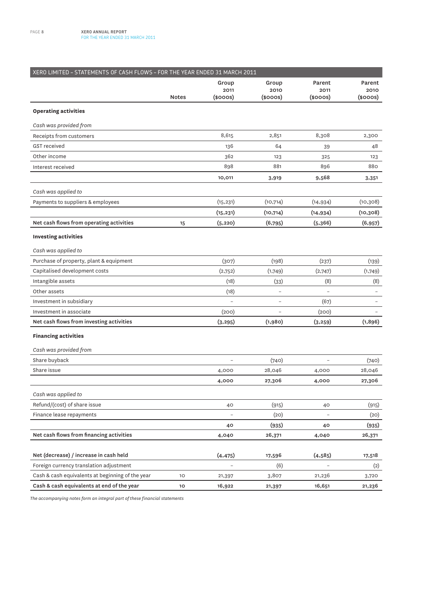| XERO LIMITED - STATEMENTS OF CASH FLOWS - FOR THE YEAR ENDED 31 MARCH 2011 |                 |                          |                          |                          |           |
|----------------------------------------------------------------------------|-----------------|--------------------------|--------------------------|--------------------------|-----------|
|                                                                            |                 | Group                    | Group                    | Parent                   | Parent    |
|                                                                            |                 | 2011                     | 2010                     | 2011                     | 2010      |
|                                                                            | <b>Notes</b>    | $(s$ ooos $)$            | (\$000S)                 | (\$000S)                 | (\$000S)  |
| <b>Operating activities</b>                                                |                 |                          |                          |                          |           |
| Cash was provided from                                                     |                 |                          |                          |                          |           |
| Receipts from customers                                                    |                 | 8,615                    | 2,851                    | 8,308                    | 2,300     |
| <b>GST</b> received                                                        |                 | 136                      | 64                       | 39                       | 48        |
| Other income                                                               |                 | 362                      | 123                      | 325                      | 123       |
| Interest received                                                          |                 | 898                      | 881                      | 896                      | 880       |
|                                                                            |                 | 10,011                   | 3,919                    | 9,568                    | 3,351     |
| Cash was applied to                                                        |                 |                          |                          |                          |           |
| Payments to suppliers & employees                                          |                 | (15, 231)                | (10, 714)                | (14, 934)                | (10, 308) |
|                                                                            |                 | (15, 231)                | (10, 714)                | (14, 934)                | (10, 308) |
| Net cash flows from operating activities                                   | 15              | (5, 220)                 | (6,795)                  | (5,366)                  | (6, 957)  |
| <b>Investing activities</b>                                                |                 |                          |                          |                          |           |
| Cash was applied to                                                        |                 |                          |                          |                          |           |
| Purchase of property, plant & equipment                                    |                 | (307)                    | (198)                    | (237)                    | (139)     |
| Capitalised development costs                                              |                 | (2,752)                  | (1,749)                  | (2,747)                  | (1,749)   |
| Intangible assets                                                          |                 | (18)                     | (33)                     | (8)                      | (8)       |
| Other assets                                                               |                 | (18)                     | $\overline{\phantom{0}}$ | $\overline{a}$           |           |
| Investment in subsidiary                                                   |                 |                          | $\overline{a}$           | (67)                     |           |
| Investment in associate                                                    |                 | (200)                    |                          | (200)                    |           |
| Net cash flows from investing activities                                   |                 | (3, 295)                 | (1,980)                  | (3, 259)                 | (1, 896)  |
| <b>Financing activities</b>                                                |                 |                          |                          |                          |           |
| Cash was provided from                                                     |                 |                          |                          |                          |           |
| Share buyback                                                              |                 |                          | (740)                    |                          | (740)     |
| Share issue                                                                |                 | 4,000                    | 28,046                   | 4,000                    | 28,046    |
|                                                                            |                 | 4,000                    | 27,306                   | 4,000                    | 27,306    |
| Cash was applied to                                                        |                 |                          |                          |                          |           |
| Refund/(cost) of share issue                                               |                 | 40                       | (915)                    | 40                       | (915)     |
| Finance lease repayments                                                   |                 | $\overline{\phantom{0}}$ | (20)                     | $\overline{\phantom{0}}$ | (20)      |
|                                                                            |                 | 40                       | (935)                    | 40                       | (935)     |
| Net cash flows from financing activities                                   |                 | 4,040                    | 26,371                   | 4,040                    | 26,371    |
|                                                                            |                 |                          |                          |                          |           |
| Net (decrease) / increase in cash held                                     |                 | (4, 475)                 | 17,596                   | (4, 585)                 | 17,518    |
| Foreign currency translation adjustment                                    |                 | $\overline{a}$           | (6)                      |                          | (2)       |
| Cash & cash equivalents at beginning of the year                           | 10 <sub>o</sub> | 21,397                   | 3,807                    | 21,236                   | 3,720     |
| Cash & cash equivalents at end of the year                                 | 10              | 16,922                   | 21,397                   | 16,651                   | 21,236    |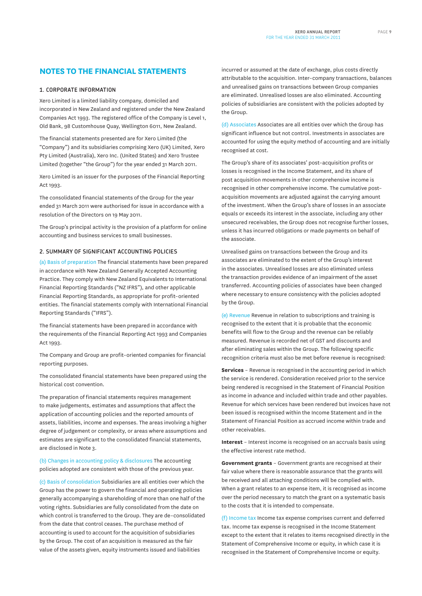### **NOTES TO THE FINANCIAL STATEMENTS**

#### **1. CORPORATE INFORMATION**

Xero Limited is a limited liability company, domiciled and incorporated in New Zealand and registered under the New Zealand Companies Act 1993. The registered office of the Company is Level 1, Old Bank, 98 Customhouse Quay, Wellington 6011, New Zealand.

The financial statements presented are for Xero Limited (the "Company") and its subsidiaries comprising Xero (UK) Limited, Xero Pty Limited (Australia), Xero Inc. (United States) and Xero Trustee Limited (together "the Group") for the year ended 31 March 2011.

Xero Limited is an issuer for the purposes of the Financial Reporting Act 1993.

The consolidated financial statements of the Group for the year ended 31 March 2011 were authorised for issue in accordance with a resolution of the Directors on 19 May 2011.

The Group's principal activity is the provision of a platform for online accounting and business services to small businesses.

#### **2. SUMMARY OF SIGNIFICANT ACCOUNTING POLICIES**

(a) Basis of preparation The financial statements have been prepared in accordance with New Zealand Generally Accepted Accounting Practice. They comply with New Zealand Equivalents to International Financial Reporting Standards ("NZ IFRS"), and other applicable Financial Reporting Standards, as appropriate for profit–oriented entities. The financial statements comply with International Financial Reporting Standards ("IFRS").

The financial statements have been prepared in accordance with the requirements of the Financial Reporting Act 1993 and Companies Act 1993.

The Company and Group are profit–oriented companies for financial reporting purposes.

The consolidated financial statements have been prepared using the historical cost convention.

The preparation of financial statements requires management to make judgements, estimates and assumptions that affect the application of accounting policies and the reported amounts of assets, liabilities, income and expenses. The areas involving a higher degree of judgement or complexity, or areas where assumptions and estimates are significant to the consolidated financial statements, are disclosed in Note 3.

(b) Changes in accounting policy & disclosures The accounting policies adopted are consistent with those of the previous year.

(c) Basis of consolidation Subsidiaries are all entities over which the Group has the power to govern the financial and operating policies generally accompanying a shareholding of more than one half of the voting rights. Subsidiaries are fully consolidated from the date on which control is transferred to the Group. They are de–consolidated from the date that control ceases. The purchase method of accounting is used to account for the acquisition of subsidiaries by the Group. The cost of an acquisition is measured as the fair value of the assets given, equity instruments issued and liabilities

incurred or assumed at the date of exchange, plus costs directly attributable to the acquisition. Inter–company transactions, balances and unrealised gains on transactions between Group companies are eliminated. Unrealised losses are also eliminated. Accounting policies of subsidiaries are consistent with the policies adopted by the Group.

(d) Associates Associates are all entities over which the Group has significant influence but not control. Investments in associates are accounted for using the equity method of accounting and are initially recognised at cost.

The Group's share of its associates' post–acquisition profits or losses is recognised in the Income Statement, and its share of post acquisition movements in other comprehensive income is recognised in other comprehensive income. The cumulative post– acquisition movements are adjusted against the carrying amount of the investment. When the Group's share of losses in an associate equals or exceeds its interest in the associate, including any other unsecured receivables, the Group does not recognise further losses, unless it has incurred obligations or made payments on behalf of the associate.

Unrealised gains on transactions between the Group and its associates are eliminated to the extent of the Group's interest in the associates. Unrealised losses are also eliminated unless the transaction provides evidence of an impairment of the asset transferred. Accounting policies of associates have been changed where necessary to ensure consistency with the policies adopted by the Group.

(e) Revenue Revenue in relation to subscriptions and training is recognised to the extent that it is probable that the economic benefits will flow to the Group and the revenue can be reliably measured. Revenue is recorded net of GST and discounts and after eliminating sales within the Group. The following specific recognition criteria must also be met before revenue is recognised:

**Services** – Revenue is recognised in the accounting period in which the service is rendered. Consideration received prior to the service being rendered is recognised in the Statement of Financial Position as income in advance and included within trade and other payables. Revenue for which services have been rendered but invoices have not been issued is recognised within the Income Statement and in the Statement of Financial Position as accrued income within trade and other receivables.

**Interest** – Interest income is recognised on an accruals basis using the effective interest rate method.

**Government grants** – Government grants are recognised at their fair value where there is reasonable assurance that the grants will be received and all attaching conditions will be complied with. When a grant relates to an expense item, it is recognised as income over the period necessary to match the grant on a systematic basis to the costs that it is intended to compensate.

(f) Income tax Income tax expense comprises current and deferred tax. Income tax expense is recognised in the Income Statement except to the extent that it relates to items recognised directly in the Statement of Comprehensive Income or equity, in which case it is recognised in the Statement of Comprehensive Income or equity.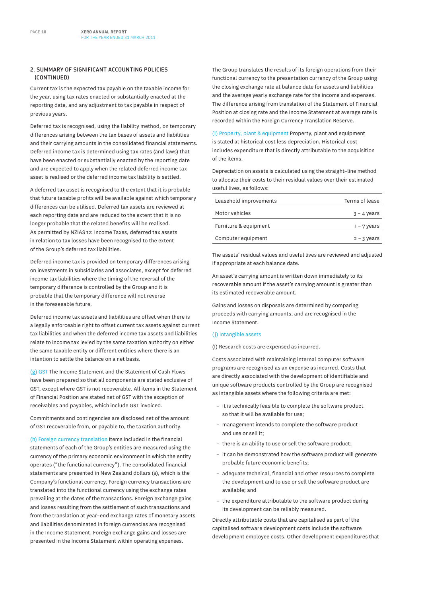#### **2. SUMMARY OF SIGNIFICANT ACCOUNTING POLICIES (CONTINUED)**

Current tax is the expected tax payable on the taxable income for the year, using tax rates enacted or substantially enacted at the reporting date, and any adjustment to tax payable in respect of previous years.

Deferred tax is recognised, using the liability method, on temporary differences arising between the tax bases of assets and liabilities and their carrying amounts in the consolidated financial statements. Deferred income tax is determined using tax rates (and laws) that have been enacted or substantially enacted by the reporting date and are expected to apply when the related deferred income tax asset is realised or the deferred income tax liability is settled.

A deferred tax asset is recognised to the extent that it is probable that future taxable profits will be available against which temporary differences can be utilised. Deferred tax assets are reviewed at each reporting date and are reduced to the extent that it is no longer probable that the related benefits will be realised. As permitted by NZIAS 12: Income Taxes, deferred tax assets in relation to tax losses have been recognised to the extent of the Group's deferred tax liabilities.

Deferred income tax is provided on temporary differences arising on investments in subsidiaries and associates, except for deferred income tax liabilities where the timing of the reversal of the temporary difference is controlled by the Group and it is probable that the temporary difference will not reverse in the foreseeable future.

Deferred income tax assets and liabilities are offset when there is a legally enforceable right to offset current tax assets against current tax liabilities and when the deferred income tax assets and liabilities relate to income tax levied by the same taxation authority on either the same taxable entity or different entities where there is an intention to settle the balance on a net basis.

(g) GST The Income Statement and the Statement of Cash Flows have been prepared so that all components are stated exclusive of GST, except where GST is not recoverable. All items in the Statement of Financial Position are stated net of GST with the exception of receivables and payables, which include GST invoiced.

Commitments and contingencies are disclosed net of the amount of GST recoverable from, or payable to, the taxation authority.

(h) Foreign currency translation Items included in the financial statements of each of the Group's entities are measured using the currency of the primary economic environment in which the entity operates ("the functional currency"). The consolidated financial statements are presented in New Zealand dollars (\$), which is the Company's functional currency. Foreign currency transactions are translated into the functional currency using the exchange rates prevailing at the dates of the transactions. Foreign exchange gains and losses resulting from the settlement of such transactions and from the translation at year–end exchange rates of monetary assets and liabilities denominated in foreign currencies are recognised in the Income Statement. Foreign exchange gains and losses are presented in the Income Statement within operating expenses.

The Group translates the results of its foreign operations from their functional currency to the presentation currency of the Group using the closing exchange rate at balance date for assets and liabilities and the average yearly exchange rate for the income and expenses. The difference arising from translation of the Statement of Financial Position at closing rate and the Income Statement at average rate is recorded within the Foreign Currency Translation Reserve.

(i) Property, plant & equipment Property, plant and equipment is stated at historical cost less depreciation. Historical cost includes expenditure that is directly attributable to the acquisition of the items.

Depreciation on assets is calculated using the straight–line method to allocate their costs to their residual values over their estimated useful lives, as follows:

| Leasehold improvements | Terms of lease |
|------------------------|----------------|
| Motor vehicles         | $3 - 4$ years  |
| Furniture & equipment  | $1 - 7$ years  |
| Computer equipment     | $2 - 3$ years  |
|                        |                |

The assets' residual values and useful lives are reviewed and adjusted if appropriate at each balance date.

An asset's carrying amount is written down immediately to its recoverable amount if the asset's carrying amount is greater than its estimated recoverable amount.

Gains and losses on disposals are determined by comparing proceeds with carrying amounts, and are recognised in the Income Statement.

#### (j) Intangible assets

(I) Research costs are expensed as incurred.

Costs associated with maintaining internal computer software programs are recognised as an expense as incurred. Costs that are directly associated with the development of identifiable and unique software products controlled by the Group are recognised as intangible assets where the following criteria are met:

- it is technically feasible to complete the software product so that it will be available for use;
- management intends to complete the software product and use or sell it;
- there is an ability to use or sell the software product;
- it can be demonstrated how the software product will generate probable future economic benefits;
- adequate technical, financial and other resources to complete the development and to use or sell the software product are available; and
- the expenditure attributable to the software product during its development can be reliably measured.

Directly attributable costs that are capitalised as part of the capitalised software development costs include the software development employee costs. Other development expenditures that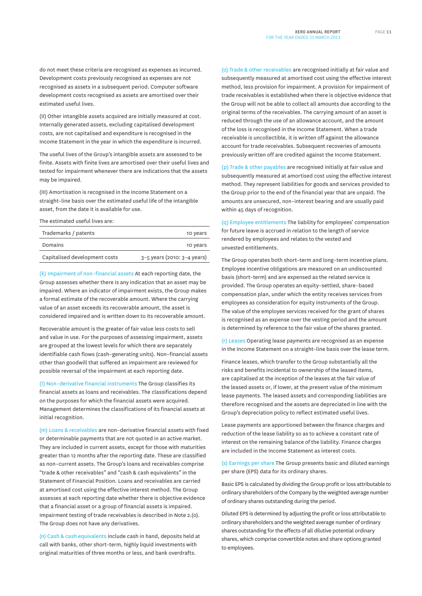do not meet these criteria are recognised as expenses as incurred. Development costs previously recognised as expenses are not recognised as assets in a subsequent period. Computer software development costs recognised as assets are amortised over their estimated useful lives.

(II) Other intangible assets acquired are initially measured at cost. Internally generated assets, excluding capitalised development costs, are not capitalised and expenditure is recognised in the Income Statement in the year in which the expenditure is incurred.

The useful lives of the Group's intangible assets are assessed to be finite. Assets with finite lives are amortised over their useful lives and tested for impairment whenever there are indications that the assets may be impaired.

(III) Amortisation is recognised in the Income Statement on a straight–line basis over the estimated useful life of the intangible asset, from the date it is available for use.

The estimated useful lives are:

| Trademarks / patents          | 10 years                        |
|-------------------------------|---------------------------------|
| Domains                       | 10 years                        |
| Capitalised development costs | $3-5$ years (2010: $3-4$ years) |

(k) Impairment of non–financial assets At each reporting date, the Group assesses whether there is any indication that an asset may be impaired. Where an indicator of impairment exists, the Group makes a formal estimate of the recoverable amount. Where the carrying value of an asset exceeds its recoverable amount, the asset is considered impaired and is written down to its recoverable amount.

Recoverable amount is the greater of fair value less costs to sell and value in use. For the purposes of assessing impairment, assets are grouped at the lowest levels for which there are separately identifiable cash flows (cash–generating units). Non–financial assets other than goodwill that suffered an impairment are reviewed for possible reversal of the impairment at each reporting date.

(l) Non–derivative financial instruments The Group classifies its financial assets as loans and receivables. The classifications depend on the purposes for which the financial assets were acquired. Management determines the classifications of its financial assets at initial recognition.

(m) Loans & receivables are non–derivative financial assets with fixed or determinable payments that are not quoted in an active market. They are included in current assets, except for those with maturities greater than 12 months after the reporting date. These are classified as non–current assets. The Group's loans and receivables comprise "trade & other receivables" and "cash & cash equivalents" in the Statement of Financial Position. Loans and receivables are carried at amortised cost using the effective interest method. The Group assesses at each reporting date whether there is objective evidence that a financial asset or a group of financial assets is impaired. Impairment testing of trade receivables is described in Note 2.(o). The Group does not have any derivatives.

(n) Cash & cash equivalents include cash in hand, deposits held at call with banks, other short–term, highly liquid investments with original maturities of three months or less, and bank overdrafts.

(o) Trade & other receivables are recognised initially at fair value and subsequently measured at amortised cost using the effective interest method, less provision for impairment. A provision for impairment of trade receivables is established when there is objective evidence that the Group will not be able to collect all amounts due according to the original terms of the receivables. The carrying amount of an asset is reduced through the use of an allowance account, and the amount of the loss is recognised in the Income Statement. When a trade receivable is uncollectible, it is written off against the allowance account for trade receivables. Subsequent recoveries of amounts previously written off are credited against the Income Statement.

(p) Trade & other payables are recognised initially at fair value and subsequently measured at amortised cost using the effective interest method. They represent liabilities for goods and services provided to the Group prior to the end of the financial year that are unpaid. The amounts are unsecured, non–interest bearing and are usually paid within 45 days of recognition.

(q) Employee entitlements The liability for employees' compensation for future leave is accrued in relation to the length of service rendered by employees and relates to the vested and unvested entitlements.

The Group operates both short–term and long–term incentive plans. Employee incentive obligations are measured on an undiscounted basis (short–term) and are expensed as the related service is provided. The Group operates an equity–settled, share–based compensation plan, under which the entity receives services from employees as consideration for equity instruments of the Group. The value of the employee services received for the grant of shares is recognised as an expense over the vesting period and the amount is determined by reference to the fair value of the shares granted.

(r) Leases Operating lease payments are recognised as an expense in the Income Statement on a straight–line basis over the lease term.

Finance leases, which transfer to the Group substantially all the risks and benefits incidental to ownership of the leased items, are capitalised at the inception of the leases at the fair value of the leased assets or, if lower, at the present value of the minimum lease payments. The leased assets and corresponding liabilities are therefore recognised and the assets are depreciated in line with the Group's depreciation policy to reflect estimated useful lives.

Lease payments are apportioned between the finance charges and reduction of the lease liability so as to achieve a constant rate of interest on the remaining balance of the liability. Finance charges are included in the Income Statement as interest costs.

(s) Earnings per share The Group presents basic and diluted earnings per share (EPS) data for its ordinary shares.

Basic EPS is calculated by dividing the Group profit or loss attributable to ordinary shareholders of the Company by the weighted average number of ordinary shares outstanding during the period.

Diluted EPS is determined by adjusting the profit or loss attributable to ordinary shareholders and the weighted average number of ordinary shares outstanding for the effects of all dilutive potential ordinary shares, which comprise convertible notes and share options granted to employees.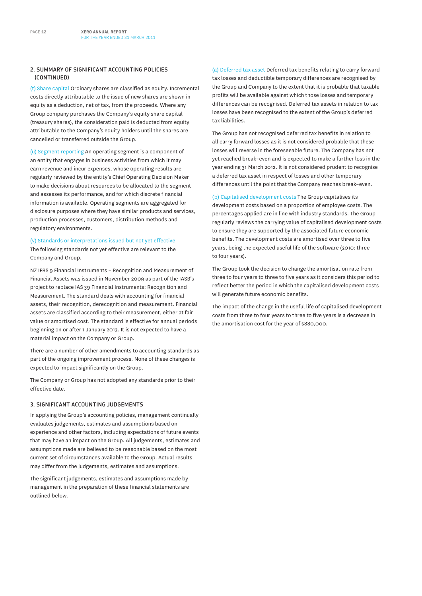#### **2. SUMMARY OF SIGNIFICANT ACCOUNTING POLICIES (CONTINUED)**

(t) Share capital Ordinary shares are classified as equity. Incremental costs directly attributable to the issue of new shares are shown in equity as a deduction, net of tax, from the proceeds. Where any Group company purchases the Company's equity share capital (treasury shares), the consideration paid is deducted from equity attributable to the Company's equity holders until the shares are cancelled or transferred outside the Group.

(u) Segment reporting An operating segment is a component of an entity that engages in business activities from which it may earn revenue and incur expenses, whose operating results are regularly reviewed by the entity's Chief Operating Decision Maker to make decisions about resources to be allocated to the segment and assesses its performance, and for which discrete financial information is available. Operating segments are aggregated for disclosure purposes where they have similar products and services, production processes, customers, distribution methods and regulatory environments.

(v) Standards or interpretations issued but not yet effective The following standards not yet effective are relevant to the Company and Group.

NZ IFRS 9 Financial Instruments – Recognition and Measurement of Financial Assets was issued in November 2009 as part of the IASB's project to replace IAS 39 Financial Instruments: Recognition and Measurement. The standard deals with accounting for financial assets, their recognition, derecognition and measurement. Financial assets are classified according to their measurement, either at fair value or amortised cost. The standard is effective for annual periods beginning on or after 1 January 2013. It is not expected to have a material impact on the Company or Group.

There are a number of other amendments to accounting standards as part of the ongoing improvement process. None of these changes is expected to impact significantly on the Group.

The Company or Group has not adopted any standards prior to their effective date.

#### **3. SIGNIFICANT ACCOUNTING JUDGEMENTS**

In applying the Group's accounting policies, management continually evaluates judgements, estimates and assumptions based on experience and other factors, including expectations of future events that may have an impact on the Group. All judgements, estimates and assumptions made are believed to be reasonable based on the most current set of circumstances available to the Group. Actual results may differ from the judgements, estimates and assumptions.

The significant judgements, estimates and assumptions made by management in the preparation of these financial statements are outlined below.

(a) Deferred tax asset Deferred tax benefits relating to carry forward tax losses and deductible temporary differences are recognised by the Group and Company to the extent that it is probable that taxable profits will be available against which those losses and temporary differences can be recognised. Deferred tax assets in relation to tax losses have been recognised to the extent of the Group's deferred tax liabilities.

The Group has not recognised deferred tax benefits in relation to all carry forward losses as it is not considered probable that these losses will reverse in the foreseeable future. The Company has not yet reached break–even and is expected to make a further loss in the year ending 31 March 2012. It is not considered prudent to recognise a deferred tax asset in respect of losses and other temporary differences until the point that the Company reaches break–even.

(b) Capitalised development costs The Group capitalises its development costs based on a proportion of employee costs. The percentages applied are in line with industry standards. The Group regularly reviews the carrying value of capitalised development costs to ensure they are supported by the associated future economic benefits. The development costs are amortised over three to five years, being the expected useful life of the software (2010: three to four years).

The Group took the decision to change the amortisation rate from three to four years to three to five years as it considers this period to reflect better the period in which the capitalised development costs will generate future economic benefits.

The impact of the change in the useful life of capitalised development costs from three to four years to three to five years is a decrease in the amortisation cost for the year of \$880,000.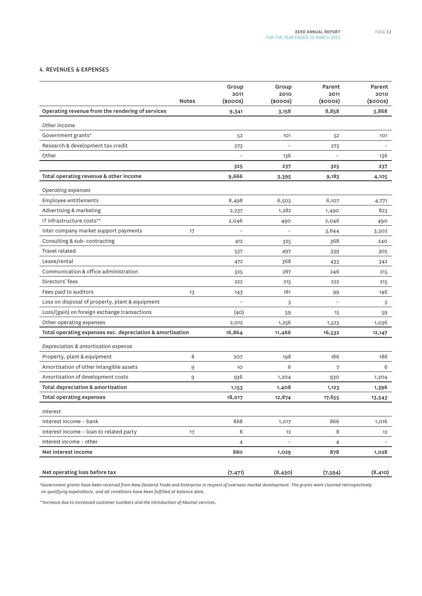#### **4. REVENUES & EXPENSES**

|                                                           |              | Group                    | Group                    | Parent            | Parent                   |
|-----------------------------------------------------------|--------------|--------------------------|--------------------------|-------------------|--------------------------|
|                                                           | <b>Notes</b> | 2011<br>(\$000S)         | 2010<br>(\$000S)         | 2011<br>(\$000S)  | 2010<br>(\$000S)         |
|                                                           |              |                          |                          |                   |                          |
| Operating revenue from the rendering of services          |              | 9,341                    | 3,158                    | 8,858             | 3,868                    |
| Other income                                              |              |                          |                          |                   |                          |
| Government grants*                                        |              | 52                       | 101                      | 52                | 101                      |
| Research & development tax credit                         |              | 273                      |                          | 273               |                          |
| Other                                                     |              |                          | 136                      |                   | 136                      |
|                                                           |              | 325                      | 237                      | 325               | 237                      |
| Total operating revenue & other income                    |              | 9,666                    | 3,395                    | 9,183             | 4,105                    |
| Operating expenses                                        |              |                          |                          |                   |                          |
| Employee entitlements                                     |              | 8,498                    | 6,503                    | 6,107             | 4,771                    |
| Advertising & marketing                                   |              | 2,237                    | 1,282                    | 1,490             | 823                      |
| IT infrastructure costs**                                 |              | 2,046                    | 490                      | 2,046             | 490                      |
| Inter company market support payments                     | 17           |                          |                          | 3,644             | 3,502                    |
| Consulting & sub-contracting                              |              | 412                      | 325                      | 368               | 240                      |
| Travel related                                            |              | 537                      | 497                      | 339               | 305                      |
| Lease/rental                                              |              | 472                      | 368                      | 433               | 342                      |
| Communication & office administration                     |              | 325                      | 287                      | 246               | 215                      |
| Directors' fees                                           |              | 222                      | 215                      | 222               | 215                      |
| Fees paid to auditors                                     | 13           | 143                      | 181                      | 99                | 146                      |
| Loss on disposal of property, plant & equipment           |              | $\overline{\phantom{a}}$ | 3                        | $\qquad \qquad -$ | 3                        |
| Loss/(gain) on foreign exchange transactions              |              | (40)                     | 59                       | 15                | 59                       |
| Other operating expenses                                  |              | 2,012                    | 1,256                    | 1,523             | 1,036                    |
| Total operating expenses exc. depreciation & amortisation |              | 16,864                   | 11,466                   | 16,532            | 12,147                   |
| Depreciation & amortisation expense                       |              |                          |                          |                   |                          |
| Property, plant & equipment                               | 8            | 207                      | 198                      | 186               | 186                      |
| Amortisation of other intangible assets                   | 9            | 10                       | 6                        | 7                 | 6                        |
| Amortisation of development costs                         | 9            | 936                      | 1,204                    | 930               | 1,204                    |
| Total depreciation & amortisation                         |              | 1,153                    | 1,408                    | 1,123             | 1,396                    |
| <b>Total operating expenses</b>                           |              | 18,017                   | 12,874                   | 17,655            | 13,543                   |
| Interest                                                  |              |                          |                          |                   |                          |
| Interest income - bank                                    |              | 868                      | 1,017                    | 866               | 1,016                    |
| Interest income - loan to related party                   | 17           | 8                        | 12                       | 8                 | 12                       |
| Interest income - other                                   |              | 4                        | $\overline{\phantom{a}}$ | 4                 | $\overline{\phantom{a}}$ |
| Net interest income                                       |              | 880                      | 1,029                    | 878               | 1,028                    |
|                                                           |              |                          |                          |                   |                          |
| Net operating loss before tax                             |              | (7, 471)                 | (8, 450)                 | (7,594)           | (8, 410)                 |

*\*Government grants have been received from New Zealand Trade and Enterprise in respect of overseas market development. The grants were claimed retrospectively on qualifying expenditure, and all conditions have been fulfilled at balance date.* 

*\*\*Increase due to increased customer numbers and the introduction of Akamai services.*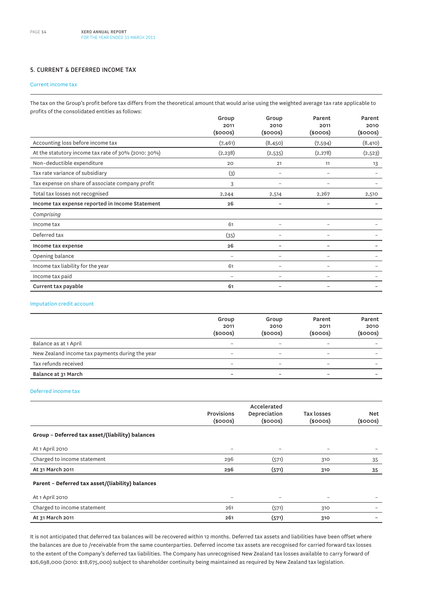#### **5. CURRENT & DEFERRED INCOME TAX**

#### Current income tax

The tax on the Group's profit before tax differs from the theoretical amount that would arise using the weighted average tax rate applicable to profits of the consolidated entities as follows:

|                                                     | Group                 | Group                    | Parent                   | Parent                |
|-----------------------------------------------------|-----------------------|--------------------------|--------------------------|-----------------------|
|                                                     | 2011<br>$(s$ ooos $)$ | 2010<br>$(s$ ooos $)$    | 2011<br>$(s$ ooos $)$    | 2010<br>$(s$ ooos $)$ |
| Accounting loss before income tax                   | (7, 461)              | (8, 450)                 | (7,594)                  | (8, 410)              |
| At the statutory income tax rate of 30% (2010: 30%) | (2, 238)              | (2,535)                  | (2,278)                  | (2,523)               |
| Non-deductible expenditure                          | 20                    | 21                       | 11                       | 13                    |
| Tax rate variance of subsidiary                     | (3)                   | -                        | $\overline{\phantom{0}}$ |                       |
| Tax expense on share of associate company profit    | 3                     |                          |                          |                       |
| Total tax losses not recognised                     | 2,244                 | 2,514                    | 2,267                    | 2,510                 |
| Income tax expense reported in Income Statement     | 26                    |                          |                          |                       |
| Comprising                                          |                       |                          |                          |                       |
| Income tax                                          | 61                    | -                        | $\overline{\phantom{0}}$ |                       |
| Deferred tax                                        | (35)                  |                          |                          |                       |
| Income tax expense                                  | 26                    |                          |                          |                       |
| Opening balance                                     | $\equiv$              | $\overline{\phantom{0}}$ | $\overline{\phantom{0}}$ |                       |
| Income tax liability for the year                   | 61                    | $\overline{\phantom{0}}$ | $\qquad \qquad$          |                       |
| Income tax paid                                     | -                     | -                        | $\overline{\phantom{0}}$ |                       |
| Current tax payable                                 | 61                    |                          |                          |                       |

#### Imputation credit account

|                                                 | Group<br>2011<br>$(s$ ooos $)$ | Group<br>2010<br>$(s$ ooos $)$ | Parent<br>2011<br>$(s$ ooos $)$ | Parent<br>2010<br>$(s$ ooos $)$ |
|-------------------------------------------------|--------------------------------|--------------------------------|---------------------------------|---------------------------------|
| Balance as at 1 April                           | $\overline{\phantom{0}}$       | $\overline{\phantom{0}}$       |                                 | $\overline{\phantom{0}}$        |
| New Zealand income tax payments during the year | -                              | -                              |                                 | $\overline{\phantom{0}}$        |
| Tax refunds received                            | $\overline{\phantom{0}}$       | $\qquad \qquad$                | $\overline{\phantom{0}}$        | $\overline{\phantom{0}}$        |
| Balance at 31 March                             | -                              | -                              | -                               | $\overline{\phantom{0}}$        |

#### Deferred income tax

|                                                  | <b>Provisions</b><br>$(s$ ooos $)$ | Accelerated<br>Depreciation<br>$(s$ ooos $)$ | Tax losses<br>$(s$ ooos $)$ | <b>Net</b><br>$(s$ ooos $)$ |
|--------------------------------------------------|------------------------------------|----------------------------------------------|-----------------------------|-----------------------------|
| Group - Deferred tax asset/(liability) balances  |                                    |                                              |                             |                             |
| At 1 April 2010                                  | $\qquad \qquad -$                  | $\overline{\phantom{0}}$                     | $\qquad \qquad =$           | $\overline{\phantom{0}}$    |
| Charged to income statement                      | 296                                | (571)                                        | 310                         | 35                          |
| At 31 March 2011                                 | 296                                | (571)                                        | 310                         | 35                          |
| Parent - Deferred tax asset/(liability) balances |                                    |                                              |                             |                             |
| At 1 April 2010                                  | $\qquad \qquad =$                  | $\overline{\phantom{0}}$                     | $\overline{\phantom{0}}$    |                             |
| Charged to income statement                      | 261                                | (571)                                        | 310                         |                             |
| At 31 March 2011                                 | 261                                | (571)                                        | 310                         |                             |

It is not anticipated that deferred tax balances will be recovered within 12 months. Deferred tax assets and liabilities have been offset where the balances are due to /receivable from the same counterparties. Deferred income tax assets are recognised for carried forward tax losses to the extent of the Company's deferred tax liabilities. The Company has unrecognised New Zealand tax losses available to carry forward of \$26,698,000 (2010: \$18,675,000) subject to shareholder continuity being maintained as required by New Zealand tax legislation.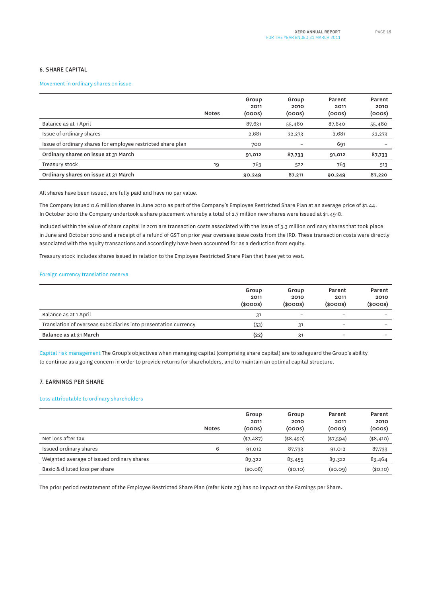#### **6. SHARE CAPITAL**

#### Movement in ordinary shares on issue

|                                                             | <b>Notes</b> | Group<br>2011<br>(000s) | Group<br>2010<br>(ooos) | Parent<br>2011<br>(ooos) | Parent<br>2010<br>(ooos) |
|-------------------------------------------------------------|--------------|-------------------------|-------------------------|--------------------------|--------------------------|
| Balance as at 1 April                                       |              | 87,631                  | 55,460                  | 87,640                   | 55,460                   |
| Issue of ordinary shares                                    |              | 2,681                   | 32,273                  | 2,681                    | 32,273                   |
| Issue of ordinary shares for employee restricted share plan |              | 700                     |                         | 691                      |                          |
| Ordinary shares on issue at 31 March                        |              | 91,012                  | 87,733                  | 91,012                   | 87,733                   |
| Treasury stock                                              | 19           | 763                     | 522                     | 763                      | 513                      |
| Ordinary shares on issue at 31 March                        |              | 90,249                  | 87,211                  | 90,249                   | 87,220                   |

All shares have been issued, are fully paid and have no par value.

The Company issued 0.6 million shares in June 2010 as part of the Company's Employee Restricted Share Plan at an average price of \$1.44. In October 2010 the Company undertook a share placement whereby a total of 2.7 million new shares were issued at \$1.4918.

Included within the value of share capital in 2011 are transaction costs associated with the issue of 3.3 million ordinary shares that took place in June and October 2010 and a receipt of a refund of GST on prior year overseas issue costs from the IRD. These transaction costs were directly associated with the equity transactions and accordingly have been accounted for as a deduction from equity.

Treasury stock includes shares issued in relation to the Employee Restricted Share Plan that have yet to vest.

#### Foreign currency translation reserve

|                                                                 | Group<br>2011<br>$(s$ ooos $)$ | Group<br>2010<br>$(s$ ooos $)$ | Parent<br>2011<br>$(s$ ooos $)$ | Parent<br>2010<br>$(s$ ooos $)$ |
|-----------------------------------------------------------------|--------------------------------|--------------------------------|---------------------------------|---------------------------------|
| Balance as at 1 April                                           | 31                             | $\overline{\phantom{a}}$       | -                               |                                 |
| Translation of overseas subsidiaries into presentation currency | (53)                           | 31                             | $\overline{\phantom{a}}$        | $\overline{\phantom{a}}$        |
| Balance as at 31 March                                          | (22)                           | 31                             | -                               | -                               |

Capital risk management The Group's objectives when managing capital (comprising share capital) are to safeguard the Group's ability to continue as a going concern in order to provide returns for shareholders, and to maintain an optimal capital structure.

#### **7. EARNINGS PER SHARE**

#### Loss attributable to ordinary shareholders

|                                            | <b>Notes</b> | Group<br>2011<br>(ooos) | Group<br>2010<br>(ooos) | Parent<br>2011<br>(ooos) | Parent<br>2010<br>(ooos) |
|--------------------------------------------|--------------|-------------------------|-------------------------|--------------------------|--------------------------|
| Net loss after tax                         |              | $(*7,487)$              | (\$8,450)               | $(*7,594)$               | (\$8,410)                |
| Issued ordinary shares                     | 6            | 91,012                  | 87,733                  | 91,012                   | 87,733                   |
| Weighted average of issued ordinary shares |              | 89,322                  | 83,455                  | 89,322                   | 83,464                   |
| Basic & diluted loss per share             |              | (\$0.08)                | (\$0.10)                | (\$0.09)                 | (\$0.10)                 |

The prior period restatement of the Employee Restricted Share Plan (refer Note 23) has no impact on the Earnings per Share.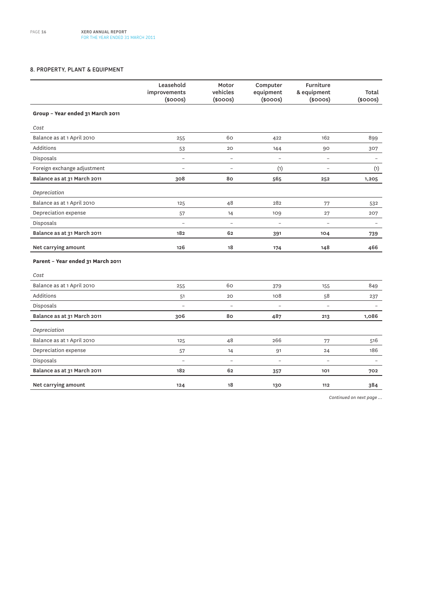#### **8. PROPERTY, PLANT & EQUIPMENT**

|                                   | Leasehold<br>improvements<br>$(s$ ooos $)$ | Motor<br>vehicles<br>$(s$ ooos $)$ | Computer<br>equipment<br>$(s$ ooos $)$ | <b>Furniture</b><br>& equipment<br>$(s$ ooos $)$ | Total<br>$(s$ ooos $)$   |
|-----------------------------------|--------------------------------------------|------------------------------------|----------------------------------------|--------------------------------------------------|--------------------------|
| Group - Year ended 31 March 2011  |                                            |                                    |                                        |                                                  |                          |
| Cost                              |                                            |                                    |                                        |                                                  |                          |
| Balance as at 1 April 2010        | 255                                        | 60                                 | 422                                    | 162                                              | 899                      |
| Additions                         | 53                                         | 20                                 | 144                                    | 90                                               | 307                      |
| Disposals                         | $\overline{\phantom{0}}$                   | $\overline{a}$                     | $\overline{\phantom{0}}$               | $\overline{a}$                                   |                          |
| Foreign exchange adjustment       | $\overline{\phantom{a}}$                   | $\qquad \qquad -$                  | (1)                                    | $\overline{a}$                                   | (1)                      |
| Balance as at 31 March 2011       | 308                                        | 80                                 | 565                                    | 252                                              | 1,205                    |
| Depreciation                      |                                            |                                    |                                        |                                                  |                          |
| Balance as at 1 April 2010        | 125                                        | 48                                 | 282                                    | 77                                               | 532                      |
| Depreciation expense              | 57                                         | 14                                 | 109                                    | 27                                               | 207                      |
| Disposals                         | $\overline{a}$                             | $\overline{a}$                     | $\overline{a}$                         | $\overline{a}$                                   | $\overline{\phantom{a}}$ |
| Balance as at 31 March 2011       | 182                                        | 62                                 | 391                                    | 104                                              | 739                      |
| Net carrying amount               | 126                                        | 18                                 | 174                                    | 148                                              | 466                      |
| Parent - Year ended 31 March 2011 |                                            |                                    |                                        |                                                  |                          |
| Cost                              |                                            |                                    |                                        |                                                  |                          |
| Balance as at 1 April 2010        | 255                                        | 60                                 | 379                                    | 155                                              | 849                      |
| Additions                         | 51                                         | 20                                 | 108                                    | 58                                               | 237                      |
| Disposals                         | $\qquad \qquad -$                          | $\overline{\phantom{0}}$           | $\overline{\phantom{0}}$               | $\overline{a}$                                   | $\overline{\phantom{0}}$ |
| Balance as at 31 March 2011       | 306                                        | 80                                 | 487                                    | 213                                              | 1,086                    |
| Depreciation                      |                                            |                                    |                                        |                                                  |                          |
| Balance as at 1 April 2010        | 125                                        | 48                                 | 266                                    | 77                                               | 516                      |
| Depreciation expense              | 57                                         | 14                                 | 91                                     | 24                                               | 186                      |
| Disposals                         | $\overline{\phantom{0}}$                   | $\overline{\phantom{0}}$           | $\overline{\phantom{0}}$               | $\overline{\phantom{0}}$                         | $\qquad \qquad -$        |
| Balance as at 31 March 2011       | 182                                        | 62                                 | 357                                    | 101                                              | 702                      |
| Net carrying amount               | 124                                        | 18                                 | 130                                    | 112                                              | 384                      |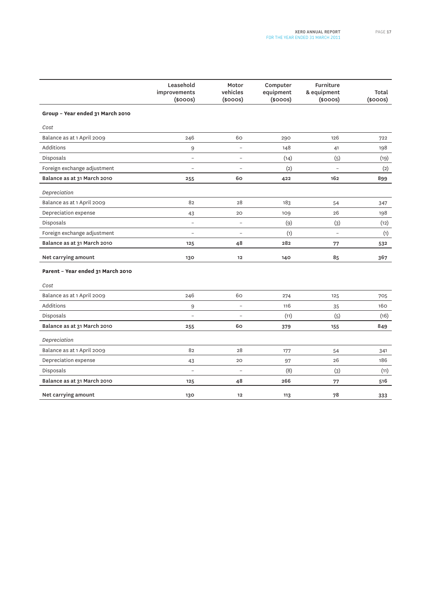|                                   | Leasehold<br>improvements<br>$(s$ ooos $)$ | Motor<br>vehicles<br>$(s$ ooos $)$ | Computer<br>equipment<br>$(s$ ooos $)$ | Furniture<br>& equipment<br>$(s$ ooos $)$ | Total<br>$(s$ ooos $)$ |
|-----------------------------------|--------------------------------------------|------------------------------------|----------------------------------------|-------------------------------------------|------------------------|
| Group - Year ended 31 March 2010  |                                            |                                    |                                        |                                           |                        |
| Cost                              |                                            |                                    |                                        |                                           |                        |
| Balance as at 1 April 2009        | 246                                        | 60                                 | 290                                    | 126                                       | 722                    |
| Additions                         | $\boldsymbol{9}$                           | $\overline{\phantom{0}}$           | 148                                    | 41                                        | 198                    |
| Disposals                         | $\overline{a}$                             | $\overline{a}$                     | (14)                                   | (5)                                       | (19)                   |
| Foreign exchange adjustment       | $\overline{\phantom{0}}$                   |                                    | (2)                                    |                                           | (2)                    |
| Balance as at 31 March 2010       | 255                                        | 60                                 | 422                                    | 162                                       | 899                    |
| Depreciation                      |                                            |                                    |                                        |                                           |                        |
| Balance as at 1 April 2009        | 82                                         | 28                                 | 183                                    | 54                                        | 347                    |
| Depreciation expense              | 43                                         | 20                                 | 109                                    | 26                                        | 198                    |
| Disposals                         | $\qquad \qquad -$                          | $\overline{\phantom{a}}$           | (9)                                    | (3)                                       | (12)                   |
| Foreign exchange adjustment       | $\overline{\phantom{0}}$                   | $\overline{\phantom{a}}$           | (1)                                    | $\overline{a}$                            | (1)                    |
| Balance as at 31 March 2010       | 125                                        | 48                                 | 282                                    | 77                                        | 532                    |
| Net carrying amount               | 130                                        | 12                                 | 140                                    | 85                                        | 367                    |
| Parent - Year ended 31 March 2010 |                                            |                                    |                                        |                                           |                        |
| Cost                              |                                            |                                    |                                        |                                           |                        |
| Balance as at 1 April 2009        | 246                                        | 60                                 | 274                                    | 125                                       | 705                    |
| Additions                         | 9                                          | $\overline{\phantom{a}}$           | 116                                    | 35                                        | 160                    |
| Disposals                         |                                            | $\overline{a}$                     | (11)                                   | (5)                                       | (16)                   |
| Balance as at 31 March 2010       | 255                                        | 60                                 | 379                                    | 155                                       | 849                    |
| Depreciation                      |                                            |                                    |                                        |                                           |                        |
| Balance as at 1 April 2009        | 82                                         | 28                                 | 177                                    | 54                                        | 341                    |
| Depreciation expense              | 43                                         | 20                                 | 97                                     | 26                                        | 186                    |
| Disposals                         | $\overline{\phantom{m}}$                   | $\qquad \qquad -$                  | (8)                                    | (3)                                       | (11)                   |
| Balance as at 31 March 2010       | 125                                        | 48                                 | 266                                    | 77                                        | 516                    |
| Net carrying amount               | 130                                        | 12                                 | 113                                    | 78                                        | 333                    |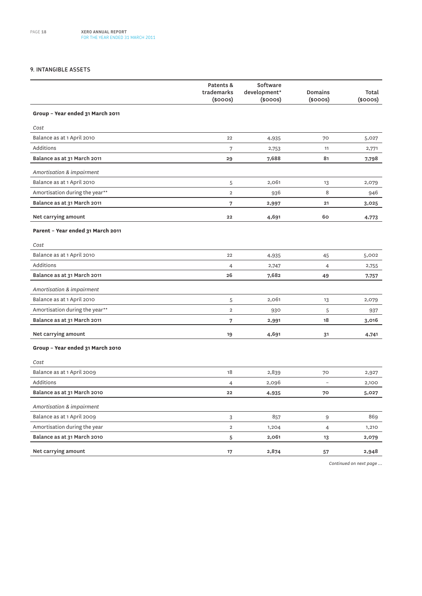#### **9. INTANGIBLE ASSETS**

|                                   | Patents &<br>trademarks<br>$(s$ ooos $)$ | Software<br>development*<br>$(s$ ooos $)$ | Domains<br>$(s$ ooos $)$ | Total<br>$(s$ ooos $)$ |
|-----------------------------------|------------------------------------------|-------------------------------------------|--------------------------|------------------------|
| Group - Year ended 31 March 2011  |                                          |                                           |                          |                        |
| Cost                              |                                          |                                           |                          |                        |
| Balance as at 1 April 2010        | 22                                       | 4,935                                     | 70                       | 5,027                  |
| Additions                         | 7                                        | 2,753                                     | 11                       | 2,771                  |
| Balance as at 31 March 2011       | 29                                       | 7,688                                     | 81                       | 7,798                  |
| Amortisation & impairment         |                                          |                                           |                          |                        |
| Balance as at 1 April 2010        | 5                                        | 2,061                                     | 13                       | 2,079                  |
| Amortisation during the year**    | $\overline{2}$                           | 936                                       | 8                        | 946                    |
| Balance as at 31 March 2011       | 7                                        | 2,997                                     | 21                       | 3,025                  |
| Net carrying amount               | 22                                       | 4,691                                     | 60                       | 4,773                  |
| Parent - Year ended 31 March 2011 |                                          |                                           |                          |                        |
| Cost                              |                                          |                                           |                          |                        |
| Balance as at 1 April 2010        | 22                                       | 4,935                                     | 45                       | 5,002                  |
| Additions                         | $\overline{4}$                           | 2,747                                     | $\overline{4}$           | 2,755                  |
| Balance as at 31 March 2011       | 26                                       | 7,682                                     | 49                       | 7,757                  |
| Amortisation & impairment         |                                          |                                           |                          |                        |
| Balance as at 1 April 2010        | 5                                        | 2,061                                     | 13                       | 2,079                  |
| Amortisation during the year**    | $\overline{2}$                           | 930                                       | 5                        | 937                    |
| Balance as at 31 March 2011       | 7                                        | 2,991                                     | 18                       | 3,016                  |
| Net carrying amount               | 19                                       | 4,691                                     | 31                       | 4,741                  |
| Group - Year ended 31 March 2010  |                                          |                                           |                          |                        |
| Cost                              |                                          |                                           |                          |                        |
| Balance as at 1 April 2009        | 18                                       | 2,839                                     | 70                       | 2,927                  |
| Additions                         | 4                                        | 2,096                                     |                          | 2,100                  |
| Balance as at 31 March 2010       | 22                                       | 4,935                                     | 70                       | 5,027                  |
| Amortisation & impairment         |                                          |                                           |                          |                        |
| Balance as at 1 April 2009        | 3                                        | 857                                       | 9                        | 869                    |
| Amortisation during the year      | $\overline{2}$                           | 1,204                                     | 4                        | 1,210                  |
| Balance as at 31 March 2010       | 5                                        | 2,061                                     | 13                       | 2,079                  |
| Net carrying amount               | 17                                       | 2,874                                     | 57                       | 2,948                  |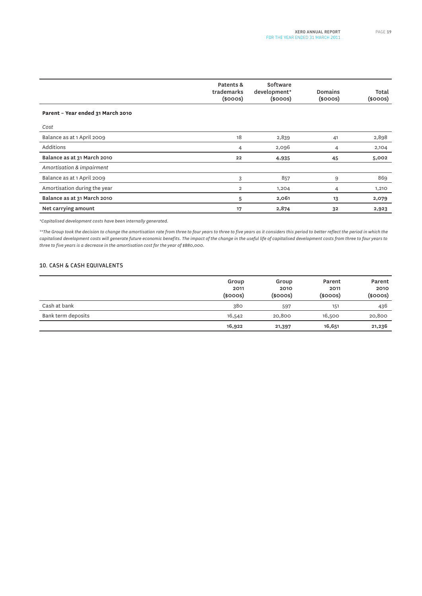|                                   | Patents &<br>trademarks<br>$(s$ ooos $)$ | Software<br>development*<br>$(s$ ooos $)$ | Domains<br>$(s$ ooos $)$ | Total<br>$(s$ ooos $)$ |
|-----------------------------------|------------------------------------------|-------------------------------------------|--------------------------|------------------------|
| Parent - Year ended 31 March 2010 |                                          |                                           |                          |                        |
| Cost                              |                                          |                                           |                          |                        |
| Balance as at 1 April 2009        | 18                                       | 2,839                                     | 41                       | 2,898                  |
| Additions                         | 4                                        | 2,096                                     | 4                        | 2,104                  |
| Balance as at 31 March 2010       | 22                                       | 4,935                                     | 45                       | 5,002                  |
| Amortisation & impairment         |                                          |                                           |                          |                        |
| Balance as at 1 April 2009        | 3                                        | 857                                       | 9                        | 869                    |
| Amortisation during the year      | $\overline{2}$                           | 1,204                                     | 4                        | 1,210                  |
| Balance as at 31 March 2010       | 5                                        | 2,061                                     | 13                       | 2,079                  |
| Net carrying amount               | 17                                       | 2,874                                     | 32                       | 2,923                  |

*\*Capitalised development costs have been internally generated.*

*\*\*The Group took the decision to change the amortisation rate from three to four years to three to five years as it considers this period to better reflect the period in which the capitalised development costs will generate future economic benefits. The impact of the change in the useful life of capitalised development costs from three to four years to three to five years is a decrease in the amortisation cost for the year of \$880,000.*

#### **10. CASH & CASH EQUIVALENTS**

|                    | Group<br>2011<br>$(s$ ooos $)$ | Group<br>2010<br>$(s$ ooos $)$ | Parent<br>2011<br>(\$000s) | Parent<br>2010<br>$(s$ ooos $)$ |
|--------------------|--------------------------------|--------------------------------|----------------------------|---------------------------------|
| Cash at bank       | 380                            | 597                            | 151                        | 436                             |
| Bank term deposits | 16,542                         | 20,800                         | 16,500                     | 20,800                          |
|                    | 16,922                         | 21,397                         | 16,651                     | 21,236                          |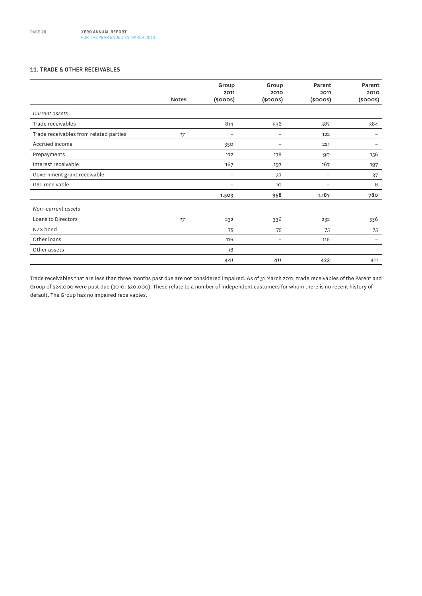#### **11. TRADE & OTHER RECEIVABLES**

|                                        | <b>Notes</b> | Group<br>2011<br>$(s$ ooos $)$ | Group<br>2010<br>$(s$ ooos $)$ | Parent<br>2011<br>$(s$ ooos $)$ | Parent<br>2010<br>$(s$ ooos $)$ |
|----------------------------------------|--------------|--------------------------------|--------------------------------|---------------------------------|---------------------------------|
|                                        |              |                                |                                |                                 |                                 |
| Current assets                         |              |                                |                                |                                 |                                 |
| Trade receivables                      |              | 814                            | 536                            | 587                             | 384                             |
| Trade receivables from related parties | 17           | $\overline{\phantom{m}}$       | $\overline{\phantom{0}}$       | 122                             | $\overline{ }$                  |
| Accrued income                         |              | 350                            | $\overline{\phantom{a}}$       | 221                             | $\overline{\phantom{0}}$        |
| Prepayments                            |              | 172                            | 178                            | 90                              | 156                             |
| Interest receivable                    |              | 167                            | 197                            | 167                             | 197                             |
| Government grant receivable            |              | $\overline{\phantom{a}}$       | 37                             | $\overline{\phantom{0}}$        | 37                              |
| GST receivable                         |              | $\overline{\phantom{0}}$       | 10                             | $\overline{\phantom{0}}$        | 6                               |
|                                        |              | 1,503                          | 958                            | 1,187                           | 780                             |
| Non-current assets                     |              |                                |                                |                                 |                                 |
| Loans to Directors                     | 17           | 232                            | 336                            | 232                             | 336                             |
| NZX bond                               |              | 75                             | 75                             | 75                              | 75                              |
| Other loans                            |              | 116                            | $\overline{\phantom{m}}$       | 116                             | $\overline{\phantom{0}}$        |
| Other assets                           |              | 18                             | $\overline{\phantom{0}}$       | $\overline{a}$                  |                                 |
|                                        |              | 441                            | 411                            | 423                             | 411                             |

Trade receivables that are less than three months past due are not considered impaired. As of 31 March 2011, trade receivables of the Parent and Group of \$24,000 were past due (2010: \$30,000). These relate to a number of independent customers for whom there is no recent history of default. The Group has no impaired receivables.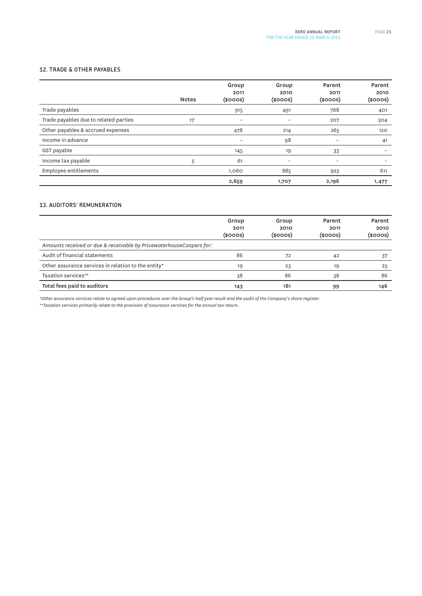#### **12. TRADE & OTHER PAYABLES**

|                                       | <b>Notes</b> | Group<br>2011<br>$(s$ ooos $)$ | Group<br>2010<br>$(s$ ooos $)$ | Parent<br>2011<br>$(s$ ooos $)$ | Parent<br>2010<br>$(s$ ooos $)$ |
|---------------------------------------|--------------|--------------------------------|--------------------------------|---------------------------------|---------------------------------|
| Trade payables                        |              | 915                            | 491                            | 768                             | 401                             |
| Trade payables due to related parties | 17           | $\qquad \qquad$                |                                | 207                             | 304                             |
| Other payables & accrued expenses     |              | 478                            | 214                            | 265                             | 120                             |
| Income in advance                     |              | $\overline{\phantom{0}}$       | 98                             | $\overline{\phantom{0}}$        | 41                              |
| GST payable                           |              | 145                            | 19                             | 33                              | $\overline{\phantom{0}}$        |
| Income tax payable                    | 5            | 61                             | $\overline{\phantom{0}}$       |                                 |                                 |
| Employee entitlements                 |              | 1,060                          | 885                            | 923                             | 611                             |
|                                       |              | 2,659                          | 1,707                          | 2,196                           | 1,477                           |

#### **13. AUDITORS' REMUNERATION**

|                                                                     | Group<br>2011<br>$(s$ ooos $)$ | Group<br>2010<br>(\$000S) | Parent<br>2011<br>(\$000S) | Parent<br>2010<br>$($ \$000s $)$ |
|---------------------------------------------------------------------|--------------------------------|---------------------------|----------------------------|----------------------------------|
| Amounts received or due & receivable by PricewaterhouseCoopers for: |                                |                           |                            |                                  |
| Audit of financial statements                                       | 86                             | 72                        | 42                         |                                  |
| Other assurance services in relation to the entity*                 | 19                             | 23                        | 19                         | 23                               |
| Taxation services**                                                 | 38                             | 86                        | 38                         | 86                               |
| Total fees paid to auditors                                         | 143                            | 181                       | 99                         | 146                              |

*\*Other assurance services relate to agreed upon procedures over the Group's half year result and the audit of the Company's share register.*

*\*\*Taxation services primarily relate to the provision of assurance services for the annual tax return.*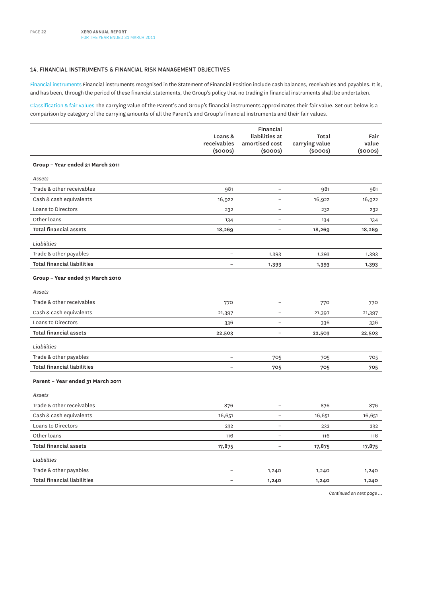#### **14. FINANCIAL INSTRUMENTS & FINANCIAL RISK MANAGEMENT OBJECTIVES**

Financial instruments Financial instruments recognised in the Statement of Financial Position include cash balances, receivables and payables. It is, and has been, through the period of these financial statements, the Group's policy that no trading in financial instruments shall be undertaken.

Classification & fair values The carrying value of the Parent's and Group's financial instruments approximates their fair value. Set out below is a comparison by category of the carrying amounts of all the Parent's and Group's financial instruments and their fair values.

|                                    |                              | Financial                       |                                 |                        |
|------------------------------------|------------------------------|---------------------------------|---------------------------------|------------------------|
|                                    | Loans &                      | liabilities at                  | Total                           | Fair                   |
|                                    | receivables<br>$(s$ ooos $)$ | amortised cost<br>$(s$ ooos $)$ | carrying value<br>$(s$ ooos $)$ | value<br>$(s$ ooos $)$ |
|                                    |                              |                                 |                                 |                        |
| Group - Year ended 31 March 2011   |                              |                                 |                                 |                        |
| Assets                             |                              |                                 |                                 |                        |
| Trade & other receivables          | 981                          | $\overline{\phantom{0}}$        | 981                             | 981                    |
| Cash & cash equivalents            | 16,922                       | $\overline{\phantom{0}}$        | 16,922                          | 16,922                 |
| Loans to Directors                 | 232                          | $\overline{a}$                  | 232                             | 232                    |
| Other loans                        | 134                          | $\overline{a}$                  | 134                             | 134                    |
| <b>Total financial assets</b>      | 18,269                       | $\overline{a}$                  | 18,269                          | 18,269                 |
| Liabilities                        |                              |                                 |                                 |                        |
| Trade & other payables             | $\overline{a}$               | 1,393                           | 1,393                           | 1,393                  |
| <b>Total financial liabilities</b> | $\overline{\phantom{a}}$     | 1,393                           | 1,393                           | 1,393                  |
| Group - Year ended 31 March 2010   |                              |                                 |                                 |                        |
| Assets                             |                              |                                 |                                 |                        |
| Trade & other receivables          | 770                          | $\overline{\phantom{a}}$        | 770                             | 770                    |
| Cash & cash equivalents            | 21,397                       | $\overline{a}$                  | 21,397                          | 21,397                 |
| Loans to Directors                 | 336                          | $\overline{\phantom{0}}$        | 336                             | 336                    |
| <b>Total financial assets</b>      | 22,503                       | $\overline{a}$                  | 22,503                          | 22,503                 |
| Liabilities                        |                              |                                 |                                 |                        |
| Trade & other payables             | $\overline{a}$               | 705                             | 705                             | 705                    |
| <b>Total financial liabilities</b> | $\overline{\phantom{a}}$     | 705                             | 705                             | 705                    |
| Parent - Year ended 31 March 2011  |                              |                                 |                                 |                        |
| Assets                             |                              |                                 |                                 |                        |
| Trade & other receivables          | 876                          | $\overline{a}$                  | 876                             | 876                    |
| Cash & cash equivalents            | 16,651                       | $\overline{a}$                  | 16,651                          | 16,651                 |
| Loans to Directors                 | 232                          | $\overline{a}$                  | 232                             | 232                    |
| Other loans                        | 116                          | $\overline{a}$                  | 116                             | 116                    |
| <b>Total financial assets</b>      | 17,875                       | $\qquad \qquad -$               | 17,875                          | 17,875                 |
| Liabilities                        |                              |                                 |                                 |                        |
| Trade & other payables             | $\overline{\phantom{a}}$     | 1,240                           | 1,240                           | 1,240                  |
| <b>Total financial liabilities</b> | $\overline{\phantom{a}}$     | 1,240                           | 1,240                           | 1,240                  |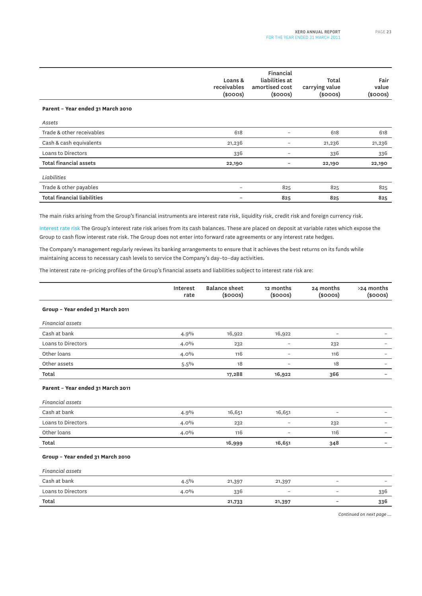|                                    | Loans &<br>receivables<br>$(s$ ooos $)$ | Financial<br>liabilities at<br>amortised cost<br>$(s$ ooos $)$ | Total<br>carrying value<br>$(s$ ooos $)$ | Fair<br>value<br>$(s$ ooos $)$ |
|------------------------------------|-----------------------------------------|----------------------------------------------------------------|------------------------------------------|--------------------------------|
| Parent - Year ended 31 March 2010  |                                         |                                                                |                                          |                                |
| Assets                             |                                         |                                                                |                                          |                                |
| Trade & other receivables          | 618                                     | $\overline{\phantom{0}}$                                       | 618                                      | 618                            |
| Cash & cash equivalents            | 21,236                                  |                                                                | 21,236                                   | 21,236                         |
| Loans to Directors                 | 336                                     | $\overline{\phantom{0}}$                                       | 336                                      | 336                            |
| <b>Total financial assets</b>      | 22,190                                  |                                                                | 22,190                                   | 22,190                         |
| Liabilities                        |                                         |                                                                |                                          |                                |
| Trade & other payables             | -                                       | 825                                                            | 825                                      | 825                            |
| <b>Total financial liabilities</b> |                                         | 825                                                            | 825                                      | 825                            |

The main risks arising from the Group's financial instruments are interest rate risk, liquidity risk, credit risk and foreign currency risk.

Interest rate risk The Group's interest rate risk arises from its cash balances. These are placed on deposit at variable rates which expose the Group to cash flow interest rate risk. The Group does not enter into forward rate agreements or any interest rate hedges.

The Company's management regularly reviews its banking arrangements to ensure that it achieves the best returns on its funds while maintaining access to necessary cash levels to service the Company's day–to–day activities.

The interest rate re–pricing profiles of the Group's financial assets and liabilities subject to interest rate risk are:

|                                   | Interest<br>rate | <b>Balance sheet</b><br>$(s$ ooos $)$ | 12 months<br>$(s$ ooos $)$ | 24 months<br>$(s$ ooos $)$ | >24 months<br>$(s$ ooos $)$ |
|-----------------------------------|------------------|---------------------------------------|----------------------------|----------------------------|-----------------------------|
| Group - Year ended 31 March 2011  |                  |                                       |                            |                            |                             |
| <b>Financial assets</b>           |                  |                                       |                            |                            |                             |
| Cash at bank                      | 4.9%             | 16,922                                | 16,922                     | $\qquad \qquad -$          |                             |
| Loans to Directors                | 4.0%             | 232                                   | $\overline{\phantom{0}}$   | 232                        |                             |
| Other loans                       | 4.0%             | 116                                   | $\overline{\phantom{0}}$   | 116                        | -                           |
| Other assets                      | $5.5\%$          | 18                                    |                            | 18                         |                             |
| Total                             |                  | 17,288                                | 16,922                     | 366                        |                             |
| Parent - Year ended 31 March 2011 |                  |                                       |                            |                            |                             |
| <b>Financial assets</b>           |                  |                                       |                            |                            |                             |
| Cash at bank                      | 4.9%             | 16,651                                | 16,651                     | $\overline{\phantom{0}}$   |                             |
| Loans to Directors                | 4.0%             | 232                                   | $\overline{\phantom{0}}$   | 232                        |                             |
| Other loans                       | 4.0%             | 116                                   | $\overline{\phantom{a}}$   | 116                        | $\overline{\phantom{0}}$    |
| Total                             |                  | 16,999                                | 16,651                     | 348                        | -                           |
| Group - Year ended 31 March 2010  |                  |                                       |                            |                            |                             |
| <b>Financial assets</b>           |                  |                                       |                            |                            |                             |
| Cash at bank                      | 4.5%             | 21,397                                | 21,397                     | $\overline{\phantom{0}}$   |                             |
| Loans to Directors                | 4.0%             | 336                                   | $\overline{\phantom{a}}$   | $\overline{\phantom{0}}$   | 336                         |
| Total                             |                  | 21,733                                | 21,397                     | -                          | 336                         |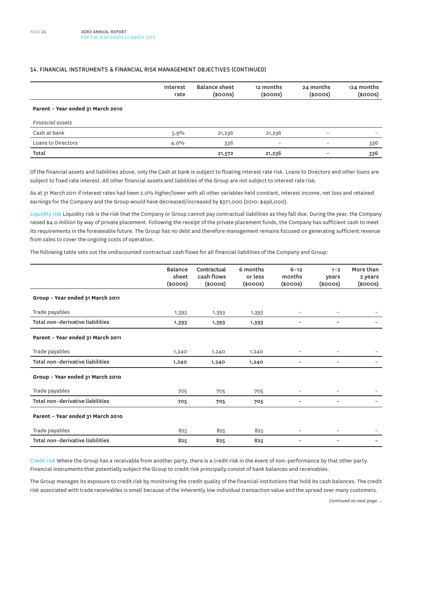#### **14. FINANCIAL INSTRUMENTS & FINANCIAL RISK MANAGEMENT OBJECTIVES (CONTINUED)**

|                                   | Interest<br>rate | <b>Balance sheet</b><br>$(s$ ooos $)$ | 12 months<br>$(s$ ooos $)$ | 24 months<br>$(s$ ooos $)$ | >24 months<br>$(s$ ooos $)$ |
|-----------------------------------|------------------|---------------------------------------|----------------------------|----------------------------|-----------------------------|
| Parent - Year ended 31 March 2010 |                  |                                       |                            |                            |                             |
| Financial assets                  |                  |                                       |                            |                            |                             |
| Cash at bank                      | 5.9%             | 21,236                                | 21,236                     | -                          |                             |
| Loans to Directors                | $4.0\%$          | 336                                   |                            | -                          | 336                         |
| Total                             |                  | 21,572                                | 21,236                     |                            | 336                         |

Of the financial assets and liabilities above, only the Cash at bank is subject to floating interest rate risk. Loans to Directors and other loans are subject to fixed rate interest. All other financial assets and liabilities of the Group are not subject to interest rate risk.

As at 31 March 2011 if interest rates had been 2.0% higher/lower with all other variables held constant, interest income, net loss and retained earnings for the Company and the Group would have decreased/increased by \$371,000 (2010: \$496,000).

Liquidity risk Liquidity risk is the risk that the Company or Group cannot pay contractual liabilities as they fall due. During the year, the Company raised \$4.0 million by way of private placement. Following the receipt of the private placement funds, the Company has sufficient cash to meet its requirements in the foreseeable future. The Group has no debt and therefore management remains focused on generating sufficient revenue from sales to cover the ongoing costs of operation.

The following table sets out the undiscounted contractual cash flows for all financial liabilities of the Company and Group:

|                                   | Balance<br>sheet<br>$(s$ ooos $)$ | Contractual<br>cash flows<br>$(s$ ooos $)$ | 6 months<br>or less<br>$(s$ ooos $)$ | $6 - 12$<br>months<br>$($ sooos $)$ | $1 - 2$<br>years<br>$(s$ ooos $)$ | More than<br>2 years<br>$(s$ ooos $)$ |
|-----------------------------------|-----------------------------------|--------------------------------------------|--------------------------------------|-------------------------------------|-----------------------------------|---------------------------------------|
| Group - Year ended 31 March 2011  |                                   |                                            |                                      |                                     |                                   |                                       |
| Trade payables                    | 1,393                             | 1,393                                      | 1,393                                | -                                   |                                   |                                       |
| Total non-derivative liabilities  | 1,393                             | 1,393                                      | 1,393                                | -                                   |                                   |                                       |
| Parent - Year ended 31 March 2011 |                                   |                                            |                                      |                                     |                                   |                                       |
| Trade payables                    | 1,240                             | 1,240                                      | 1,240                                | -                                   |                                   |                                       |
| Total non-derivative liabilities  | 1,240                             | 1,240                                      | 1,240                                | -                                   |                                   |                                       |
| Group - Year ended 31 March 2010  |                                   |                                            |                                      |                                     |                                   |                                       |
| Trade payables                    | 705                               | 705                                        | 705                                  | $\overline{\phantom{0}}$            | $\overline{\phantom{m}}$          |                                       |
| Total non-derivative liabilities  | 705                               | 705                                        | 705                                  | -                                   | $\overline{\phantom{a}}$          |                                       |
| Parent - Year ended 31 March 2010 |                                   |                                            |                                      |                                     |                                   |                                       |
| Trade payables                    | 825                               | 825                                        | 825                                  | -                                   | $\overline{\phantom{0}}$          |                                       |
| Total non-derivative liabilities  | 825                               | 825                                        | 825                                  | -                                   |                                   |                                       |

Credit risk Where the Group has a receivable from another party, there is a credit risk in the event of non–performance by that other party. Financial instruments that potentially subject the Group to credit risk principally consist of bank balances and receivables.

The Group manages its exposure to credit risk by monitoring the credit quality of the financial institutions that hold its cash balances. The credit risk associated with trade receivables is small because of the inherently low individual transaction value and the spread over many customers.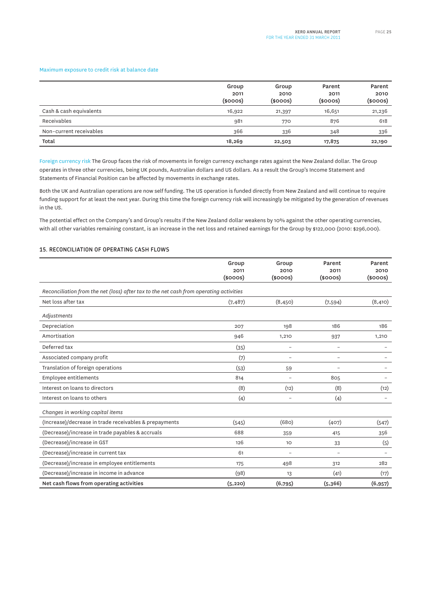#### Maximum exposure to credit risk at balance date

|                         | Group<br>2011<br>$(s$ ooos $)$ | Group<br>2010<br>$(s$ ooos $)$ | Parent<br>2011<br>$(s$ ooos $)$ | Parent<br>2010<br>(\$000S) |
|-------------------------|--------------------------------|--------------------------------|---------------------------------|----------------------------|
| Cash & cash equivalents | 16,922                         | 21,397                         | 16,651                          | 21,236                     |
| Receivables             | 981                            | 770                            | 876                             | 618                        |
| Non-current receivables | 366                            | 336                            | 348                             | 336                        |
| Total                   | 18,269                         | 22,503                         | 17,875                          | 22,190                     |

Foreign currency risk The Group faces the risk of movements in foreign currency exchange rates against the New Zealand dollar. The Group operates in three other currencies, being UK pounds, Australian dollars and US dollars. As a result the Group's Income Statement and Statements of Financial Position can be affected by movements in exchange rates.

Both the UK and Australian operations are now self funding. The US operation is funded directly from New Zealand and will continue to require funding support for at least the next year. During this time the foreign currency risk will increasingly be mitigated by the generation of revenues in the US.

The potential effect on the Company's and Group's results if the New Zealand dollar weakens by 10% against the other operating currencies, with all other variables remaining constant, is an increase in the net loss and retained earnings for the Group by \$122,000 (2010: \$296,000).

#### **15. RECONCILIATION OF OPERATING CASH FLOWS**

|                                                                                        | Group<br>2011<br>$(s$ ooos $)$ | Group<br>2010<br>$(s$ ooos $)$ | Parent<br>2011<br>$(s$ ooos $)$ | Parent<br>2010<br>$(s$ ooos $)$ |
|----------------------------------------------------------------------------------------|--------------------------------|--------------------------------|---------------------------------|---------------------------------|
| Reconciliation from the net (loss) after tax to the net cash from operating activities |                                |                                |                                 |                                 |
| Net loss after tax                                                                     | (7, 487)                       | (8,450)                        | (7,594)                         | (8, 410)                        |
| Adjustments                                                                            |                                |                                |                                 |                                 |
| Depreciation                                                                           | 207                            | 198                            | 186                             | 186                             |
| Amortisation                                                                           | 946                            | 1,210                          | 937                             | 1,210                           |
| Deferred tax                                                                           | (35)                           | $\overline{\phantom{a}}$       | $\overline{a}$                  |                                 |
| Associated company profit                                                              | (7)                            | $\qquad \qquad -$              | $\overline{a}$                  |                                 |
| Translation of foreign operations                                                      | (53)                           | 59                             | $\overline{\phantom{0}}$        |                                 |
| Employee entitlements                                                                  | 814                            | $\qquad \qquad -$              | 805                             |                                 |
| Interest on loans to directors                                                         | (8)                            | (12)                           | (8)                             | (12)                            |
| Interest on loans to others                                                            | (4)                            | $\qquad \qquad -$              | (4)                             |                                 |
| Changes in working capital items                                                       |                                |                                |                                 |                                 |
| (Increase)/decrease in trade receivables & prepayments                                 | (545)                          | (680)                          | (407)                           | (547)                           |
| (Decrease)/increase in trade payables & accruals                                       | 688                            | 359                            | 415                             | 356                             |
| (Decrease)/increase in GST                                                             | 126                            | 10                             | 33                              | (5)                             |
| (Decrease)/increase in current tax                                                     | 61                             | $\overline{a}$                 | $\overline{\phantom{0}}$        |                                 |
| (Decrease)/increase in employee entitlements                                           | 175                            | 498                            | 312                             | 282                             |
| (Decrease)/increase in income in advance                                               | (98)                           | 13                             | (41)                            | (17)                            |
| Net cash flows from operating activities                                               | (5, 220)                       | (6,795)                        | (5,366)                         | (6, 957)                        |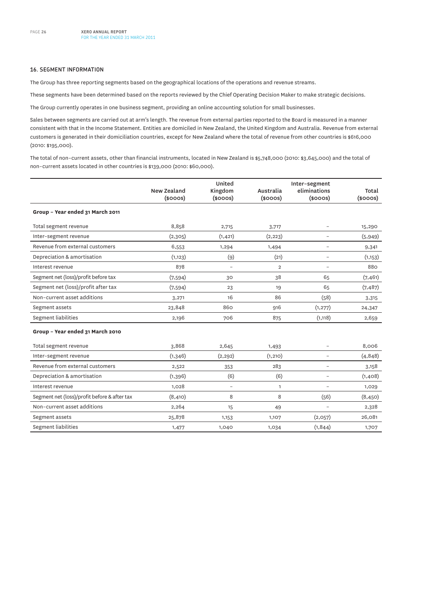#### **16. SEGMENT INFORMATION**

The Group has three reporting segments based on the geographical locations of the operations and revenue streams.

These segments have been determined based on the reports reviewed by the Chief Operating Decision Maker to make strategic decisions.

The Group currently operates in one business segment, providing an online accounting solution for small businesses.

Sales between segments are carried out at arm's length. The revenue from external parties reported to the Board is measured in a manner consistent with that in the Income Statement. Entities are domiciled in New Zealand, the United Kingdom and Australia. Revenue from external customers is generated in their domiciliation countries, except for New Zealand where the total of revenue from other countries is \$616,000 (2010: \$195,000).

The total of non–current assets, other than financial instruments, located in New Zealand is \$5,748,000 (2010: \$3,645,000) and the total of non–current assets located in other countries is \$139,000 (2010: \$60,000).

|                                              | New Zealand<br>$(s$ ooos $)$ | United<br>Kingdom<br>$(s$ ooos $)$ | Australia<br>$(s$ ooos $)$ | Inter-segment<br>eliminations<br>$(s$ ooos $)$ | Total<br>$(s$ ooos $)$ |
|----------------------------------------------|------------------------------|------------------------------------|----------------------------|------------------------------------------------|------------------------|
| Group - Year ended 31 March 2011             |                              |                                    |                            |                                                |                        |
| Total segment revenue                        | 8,858                        | 2,715                              | 3,717                      | $\overline{\phantom{0}}$                       | 15,290                 |
| Inter-segment revenue                        | (2,305)                      | (1, 421)                           | (2, 223)                   | $\overline{\phantom{a}}$                       | (5,949)                |
| Revenue from external customers              | 6,553                        | 1,294                              | 1,494                      | $\qquad \qquad -$                              | 9,341                  |
| Depreciation & amortisation                  | (1, 123)                     | (9)                                | (21)                       | $\overline{\phantom{0}}$                       | (1, 153)               |
| Interest revenue                             | 878                          | $\qquad \qquad -$                  | $\overline{2}$             | $\qquad \qquad -$                              | 880                    |
| Segment net (loss)/profit before tax         | (7,594)                      | 30                                 | 38                         | 65                                             | (7,461)                |
| Segment net (loss)/profit after tax          | (7,594)                      | 23                                 | 19                         | 65                                             | (7, 487)               |
| Non-current asset additions                  | 3,271                        | 16                                 | 86                         | (58)                                           | 3,315                  |
| Segment assets                               | 23,848                       | 860                                | 916                        | (1, 277)                                       | 24,347                 |
| Segment liabilities                          | 2,196                        | 706                                | 875                        | (1, 118)                                       | 2,659                  |
| Group - Year ended 31 March 2010             |                              |                                    |                            |                                                |                        |
| Total segment revenue                        | 3,868                        | 2,645                              | 1,493                      |                                                | 8,006                  |
| Inter-segment revenue                        | (1, 346)                     | (2, 292)                           | (1, 210)                   | $\qquad \qquad -$                              | (4, 848)               |
| Revenue from external customers              | 2,522                        | 353                                | 283                        | $\qquad \qquad -$                              | 3,158                  |
| Depreciation & amortisation                  | (1, 396)                     | (6)                                | (6)                        | $\overline{a}$                                 | (1,408)                |
| Interest revenue                             | 1,028                        | $\overline{a}$                     | $\mathbf{1}$               |                                                | 1,029                  |
| Segment net (loss)/profit before & after tax | (8,410)                      | 8                                  | 8                          | (56)                                           | (8, 450)               |
| Non-current asset additions                  | 2,264                        | 15                                 | 49                         | $\overline{a}$                                 | 2,328                  |
| Segment assets                               | 25,878                       | 1,153                              | 1,107                      | (2,057)                                        | 26,081                 |
| Segment liabilities                          | 1,477                        | 1,040                              | 1,034                      | (1, 844)                                       | 1,707                  |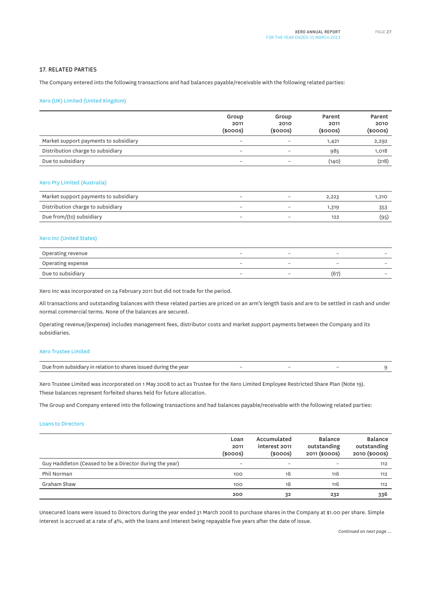#### **17. RELATED PARTIES**

The Company entered into the following transactions and had balances payable/receivable with the following related parties:

#### Xero (UK) Limited (United Kingdom)

|                                       | Group                    | Group                    | Parent        | Parent        |
|---------------------------------------|--------------------------|--------------------------|---------------|---------------|
|                                       | 2011                     | 2010                     | 2011          | 2010          |
|                                       | $(s$ ooos $)$            | $(s$ ooos $)$            | $(s$ ooos $)$ | $(s$ ooos $)$ |
| Market support payments to subsidiary | $\overline{\phantom{0}}$ | $\overline{\phantom{a}}$ | 1,421         | 2,292         |
| Distribution charge to subsidiary     | $\overline{\phantom{a}}$ |                          | 985           | 1,018         |
| Due to subsidiary                     | $\overline{\phantom{a}}$ |                          | (140)         | (218)         |
|                                       |                          |                          |               |               |

#### Xero Pty Limited (Australia)

| Market support payments to subsidiary |  | 2,223 | 1,210 |
|---------------------------------------|--|-------|-------|
| Distribution charge to subsidiary     |  | 1,319 |       |
| Due from/(to) subsidiary              |  |       | (95)  |

#### Xero Inc (United States)

| Operating revenue |  | $\overline{\phantom{a}}$ |                          |
|-------------------|--|--------------------------|--------------------------|
| Operating expense |  | $\overline{\phantom{a}}$ | $\overline{\phantom{a}}$ |
| Due to subsidiary |  | (67                      | $\overline{\phantom{a}}$ |

Xero Inc was incorporated on 24 February 2011 but did not trade for the period.

All transactions and outstanding balances with these related parties are priced on an arm's length basis and are to be settled in cash and under normal commercial terms. None of the balances are secured.

Operating revenue/(expense) includes management fees, distributor costs and market support payments between the Company and its subsidiaries.

#### Xero Trustee Limited

| . .<br>shares issued during the vear د<br>Due<br>! from subsidiary in relation to |  |  |  |  |
|-----------------------------------------------------------------------------------|--|--|--|--|
|-----------------------------------------------------------------------------------|--|--|--|--|

Xero Trustee Limited was incorporated on 1 May 2008 to act as Trustee for the Xero Limited Employee Restricted Share Plan (Note 19). These balances represent forfeited shares held for future allocation.

The Group and Company entered into the following transactions and had balances payable/receivable with the following related parties:

#### Loans to Directors

|                                                         | Loan<br>2011<br>$(s$ ooos $)$ | Accumulated<br>interest 2011<br>$(s$ ooos $)$ | <b>Balance</b><br>outstanding<br>2011 (\$000S) | <b>Balance</b><br>outstanding<br>2010 (\$000S) |
|---------------------------------------------------------|-------------------------------|-----------------------------------------------|------------------------------------------------|------------------------------------------------|
| Guy Haddleton (Ceased to be a Director during the year) | $\overline{\phantom{0}}$      |                                               | $\overline{\phantom{a}}$                       | 112                                            |
| Phil Norman                                             | 100                           | 16                                            | 116                                            | 112                                            |
| Graham Shaw                                             | 100                           | 16                                            | 116                                            | 112                                            |
|                                                         | 200                           | 32                                            | 232                                            | 336                                            |

Unsecured loans were issued to Directors during the year ended 31 March 2008 to purchase shares in the Company at \$1.00 per share. Simple interest is accrued at a rate of 4%, with the loans and interest being repayable five years after the date of issue.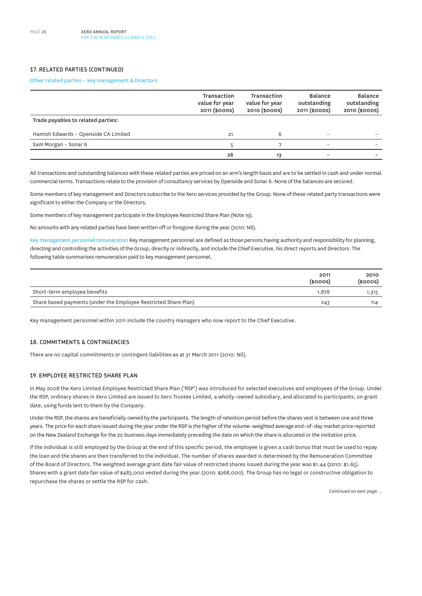#### **17. RELATED PARTIES (CONTINUED)**

#### Other related parties – key management & Directors

|                                      | Transaction<br>value for year<br>2011 (\$000S) | Transaction<br>value for year<br>2010 (\$000S) | Balance<br>outstanding<br>2011 (\$000S) | <b>Balance</b><br>outstanding<br>2010 (\$000S) |
|--------------------------------------|------------------------------------------------|------------------------------------------------|-----------------------------------------|------------------------------------------------|
| Trade payables to related parties:   |                                                |                                                |                                         |                                                |
| Hamish Edwards - Openside CA Limited | 21                                             | 6                                              | $\overline{\phantom{0}}$                |                                                |
| Sam Morgan - Sonar 6                 | $\mathbf{A}$                                   |                                                |                                         |                                                |
|                                      | 26                                             | 13                                             |                                         |                                                |

All transactions and outstanding balances with these related parties are priced on an arm's length basis and are to be settled in cash and under normal commercial terms. Transactions relate to the provision of consultancy services by Openside and Sonar 6. None of the balances are secured.

Some members of key management and Directors subscribe to the Xero services provided by the Group. None of these related party transactions were significant to either the Company or the Directors.

Some members of key management participate in the Employee Restricted Share Plan (Note 19).

No amounts with any related parties have been written off or foregone during the year (2010: Nil).

Key management personnel remuneration Key management personnel are defined as those persons having authority and responsibility for planning, directing and controlling the activities of the Group, directly or indirectly, and include the Chief Executive, his direct reports and Directors. The following table summarises remuneration paid to key management personnel.

|                                                                 | 2011<br>$(s$ ooos $)$ | 2010<br>(\$000S) |
|-----------------------------------------------------------------|-----------------------|------------------|
| Short-term employee benefits                                    | 1.878                 | 1,315            |
| Share based payments (under the Employee Restricted Share Plan) | 243                   | 114              |

Key management personnel within 2011 include the country managers who now report to the Chief Executive.

#### **18. COMMITMENTS & CONTINGENCIES**

There are no capital commitments or contingent liabilities as at 31 March 2011 (2010: Nil).

#### **19. EMPLOYEE RESTRICTED SHARE PLAN**

In May 2008 the Xero Limited Employee Restricted Share Plan ('RSP') was introduced for selected executives and employees of the Group. Under the RSP, ordinary shares in Xero Limited are issued to Xero Trustee Limited, a wholly–owned subsidiary, and allocated to participants, on grant date, using funds lent to them by the Company.

Under the RSP, the shares are beneficially owned by the participants. The length of retention period before the shares vest is between one and three years. The price for each share issued during the year under the RSP is the higher of the volume–weighted average end–of–day market price reported on the New Zealand Exchange for the 20 business days immediately preceding the date on which the share is allocated or the invitation price.

If the individual is still employed by the Group at the end of this specific period, the employee is given a cash bonus that must be used to repay the loan and the shares are then transferred to the individual. The number of shares awarded is determined by the Remuneration Committee of the Board of Directors. The weighted average grant date fair value of restricted shares issued during the year was \$1.44 (2010: \$1.65). Shares with a grant date fair value of \$483,000 vested during the year (2010: \$268,000). The Group has no legal or constructive obligation to repurchase the shares or settle the RSP for cash.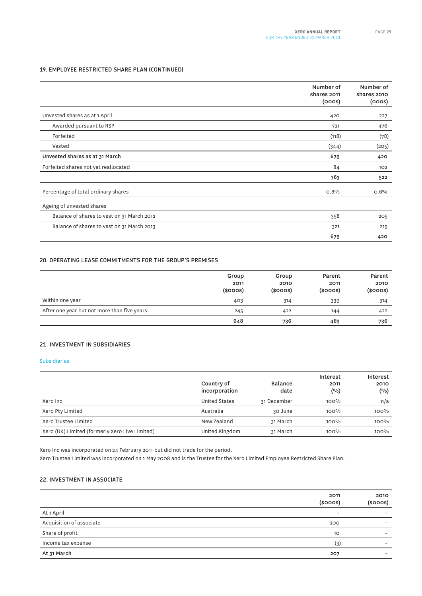#### **19. EMPLOYEE RESTRICTED SHARE PLAN (CONTINUED)**

|                                            | Number of<br>shares 2011<br>(000s) | Number of<br>shares 2010<br>(000s) |
|--------------------------------------------|------------------------------------|------------------------------------|
| Unvested shares as at 1 April              | 420                                | 227                                |
| Awarded pursuant to RSP                    | 721                                | 476                                |
| Forfeited                                  | (118)                              | (78)                               |
| Vested                                     | (344)                              | (205)                              |
| Unvested shares as at 31 March             | 679                                | 420                                |
| Forfeited shares not yet reallocated       | 84                                 | 102                                |
|                                            | 763                                | 522                                |
| Percentage of total ordinary shares        | 0.8%                               | 0.6%                               |
| Ageing of unvested shares                  |                                    |                                    |
| Balance of shares to vest on 31 March 2012 | 358                                | 205                                |
| Balance of shares to vest on 31 March 2013 | 321                                | 215                                |
|                                            | 679                                | 420                                |

#### **20. OPERATING LEASE COMMITMENTS FOR THE GROUP'S PREMISES**

|                                             | Group<br>2011<br>$(s$ ooos $)$ | Group<br>2010<br>$(s$ ooos $)$ | Parent<br>2011<br>$(s$ ooos $)$ | Parent<br>2010<br>$(s$ ooos $)$ |
|---------------------------------------------|--------------------------------|--------------------------------|---------------------------------|---------------------------------|
| Within one year                             | 403                            | 314                            | 339                             | 314                             |
| After one year but not more than five years | 245                            | 422                            | 144                             | 422                             |
|                                             | 648                            | 736                            | 483                             | 736                             |

#### **21. INVESTMENT IN SUBSIDIARIES**

#### Subsidiaries

|                                                | Country of<br>incorporation | <b>Balance</b><br>date | Interest<br>2011<br>(0/0) | Interest<br>2010<br>$(\%)$ |
|------------------------------------------------|-----------------------------|------------------------|---------------------------|----------------------------|
| Xero Inc                                       | <b>United States</b>        | 31 December            | $100\%$                   | n/a                        |
| Xero Pty Limited                               | Australia                   | 30 June                | 100%                      | 100%                       |
| Xero Trustee Limited                           | New Zealand                 | 31 March               | 100%                      | 100%                       |
| Xero (UK) Limited (formerly Xero Live Limited) | United Kingdom              | 31 March               | 100%                      | 100%                       |

Xero Inc was incorporated on 24 February 2011 but did not trade for the period.

Xero Trustee Limited was incorporated on 1 May 2008 and is the Trustee for the Xero Limited Employee Restricted Share Plan.

#### **22. INVESTMENT IN ASSOCIATE**

|                          | 2011<br>$(s$ ooos $)$    | 2010<br>$(s$ ooos $)$ |
|--------------------------|--------------------------|-----------------------|
| At 1 April               | $\overline{\phantom{a}}$ | -                     |
| Acquisition of associate | 200                      | -                     |
| Share of profit          | 10                       | -                     |
| Income tax expense       | (3)                      | -                     |
| At 31 March              | 207                      |                       |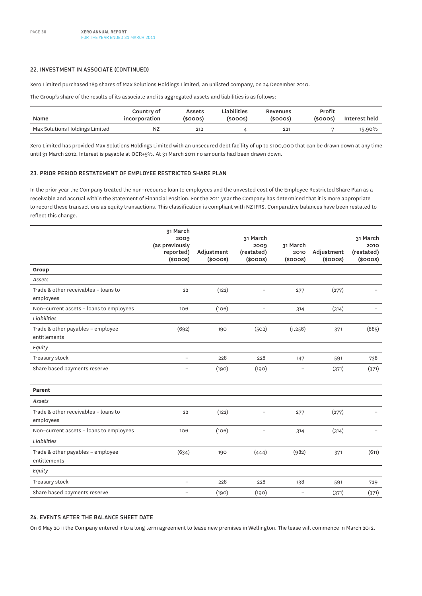#### **22. INVESTMENT IN ASSOCIATE (CONTINUED)**

Xero Limited purchased 189 shares of Max Solutions Holdings Limited, an unlisted company, on 24 December 2010.

The Group's share of the results of its associate and its aggregated assets and liabilities is as follows:

| Name                           | Country of<br>incorporation | Assets<br>(sooos) | Liabilities<br>$(s$ ooos $)$ | Revenues<br>$(s$ ooos $)$ | Profit<br>$(s$ ooos $)$ | Interest held |
|--------------------------------|-----------------------------|-------------------|------------------------------|---------------------------|-------------------------|---------------|
| Max Solutions Holdings Limited | <b>N<sub>Z</sub></b>        | 212               |                              | 221                       |                         | 15.90%        |

Xero Limited has provided Max Solutions Holdings Limited with an unsecured debt facility of up to \$100,000 that can be drawn down at any time until 31 March 2012. Interest is payable at OCR+5%. At 31 March 2011 no amounts had been drawn down.

#### **23. PRIOR PERIOD RESTATEMENT OF EMPLOYEE RESTRICTED SHARE PLAN**

In the prior year the Company treated the non–recourse loan to employees and the unvested cost of the Employee Restricted Share Plan as a receivable and accrual within the Statement of Financial Position. For the 2011 year the Company has determined that it is more appropriate to record these transactions as equity transactions. This classification is compliant with NZ IFRS. Comparative balances have been restated to reflect this change.

|                                                   | 31 March<br>2009<br>(as previously<br>reported)<br>$(s$ ooos $)$ | Adjustment<br>$(s$ ooos $)$ | 31 March<br>2009<br>(restated)<br>$(s$ ooos $)$ | 31 March<br>2010<br>$(s$ ooos $)$ | Adjustment<br>$(s$ ooos $)$ | 31 March<br>2010<br>(restated)<br>$(s$ ooos $)$ |
|---------------------------------------------------|------------------------------------------------------------------|-----------------------------|-------------------------------------------------|-----------------------------------|-----------------------------|-------------------------------------------------|
| Group                                             |                                                                  |                             |                                                 |                                   |                             |                                                 |
| Assets                                            |                                                                  |                             |                                                 |                                   |                             |                                                 |
| Trade & other receivables - loans to<br>employees | 122                                                              | (122)                       | $\overline{a}$                                  | 277                               | (277)                       |                                                 |
| Non-current assets - loans to employees           | 106                                                              | (106)                       | $\overline{a}$                                  | 314                               | (314)                       |                                                 |
| Liabilities                                       |                                                                  |                             |                                                 |                                   |                             |                                                 |
| Trade & other payables - employee<br>entitlements | (692)                                                            | 190                         | (502)                                           | (1, 256)                          | 371                         | (885)                                           |
| Equity                                            |                                                                  |                             |                                                 |                                   |                             |                                                 |
| Treasury stock                                    | $\overline{\phantom{0}}$                                         | 228                         | 228                                             | 147                               | 591                         | 738                                             |
| Share based payments reserve                      | $\overline{a}$                                                   | (190)                       | (190)                                           | $\qquad \qquad -$                 | (371)                       | (371)                                           |
| <b>Parent</b>                                     |                                                                  |                             |                                                 |                                   |                             |                                                 |
| Assets                                            |                                                                  |                             |                                                 |                                   |                             |                                                 |
| Trade & other receivables - loans to<br>employees | 122                                                              | (122)                       |                                                 | 277                               | (277)                       |                                                 |
| Non-current assets - loans to employees           | 106                                                              | (106)                       | $\qquad \qquad -$                               | 314                               | (314)                       | $\overline{\phantom{0}}$                        |
| Liabilities                                       |                                                                  |                             |                                                 |                                   |                             |                                                 |
| Trade & other payables - employee<br>entitlements | (634)                                                            | 190                         | (444)                                           | (982)                             | 371                         | (611)                                           |
| Equity                                            |                                                                  |                             |                                                 |                                   |                             |                                                 |
| Treasury stock                                    | $\overline{\phantom{0}}$                                         | 228                         | 228                                             | 138                               | 591                         | 729                                             |
| Share based payments reserve                      | $\overline{\phantom{0}}$                                         | (190)                       | (190)                                           |                                   | (371)                       | (371)                                           |

#### **24. EVENTS AFTER THE BALANCE SHEET DATE**

On 6 May 2011 the Company entered into a long term agreement to lease new premises in Wellington. The lease will commence in March 2012.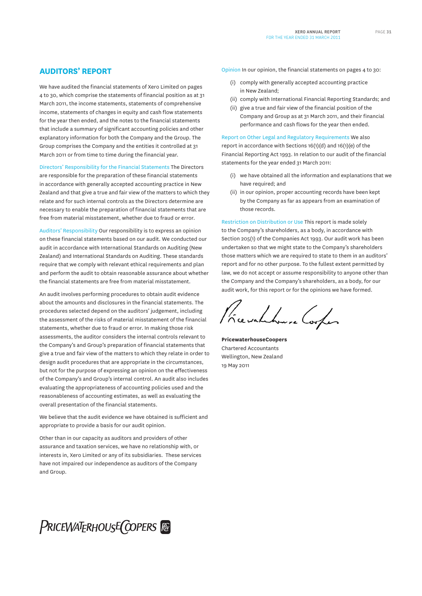We have audited the financial statements of Xero Limited on pages 4 to 30, which comprise the statements of financial position as at 31 March 2011, the income statements, statements of comprehensive income, statements of changes in equity and cash flow statements for the year then ended, and the notes to the financial statements that include a summary of significant accounting policies and other explanatory information for both the Company and the Group. The Group comprises the Company and the entities it controlled at 31 March 2011 or from time to time during the financial year.

Directors' Responsibility for the Financial Statements The Directors are responsible for the preparation of these financial statements in accordance with generally accepted accounting practice in New Zealand and that give a true and fair view of the matters to which they relate and for such internal controls as the Directors determine are necessary to enable the preparation of financial statements that are free from material misstatement, whether due to fraud or error.

Auditors' Responsibility Our responsibility is to express an opinion on these financial statements based on our audit. We conducted our audit in accordance with International Standards on Auditing (New Zealand) and International Standards on Auditing. These standards require that we comply with relevant ethical requirements and plan and perform the audit to obtain reasonable assurance about whether the financial statements are free from material misstatement.

An audit involves performing procedures to obtain audit evidence about the amounts and disclosures in the financial statements. The procedures selected depend on the auditors' judgement, including the assessment of the risks of material misstatement of the financial statements, whether due to fraud or error. In making those risk assessments, the auditor considers the internal controls relevant to the Company's and Group's preparation of financial statements that give a true and fair view of the matters to which they relate in order to design audit procedures that are appropriate in the circumstances, but not for the purpose of expressing an opinion on the effectiveness of the Company's and Group's internal control. An audit also includes evaluating the appropriateness of accounting policies used and the reasonableness of accounting estimates, as well as evaluating the overall presentation of the financial statements.

We believe that the audit evidence we have obtained is sufficient and appropriate to provide a basis for our audit opinion.

Other than in our capacity as auditors and providers of other assurance and taxation services, we have no relationship with, or interests in, Xero Limited or any of its subsidiaries. These services have not impaired our independence as auditors of the Company and Group.

Opinion In our opinion, the financial statements on pages 4 to 30:

- (i) comply with generally accepted accounting practice in New Zealand;
- (ii) comply with International Financial Reporting Standards; and
- (ii) give a true and fair view of the financial position of the Company and Group as at 31 March 2011, and their financial performance and cash flows for the year then ended.

Report on Other Legal and Regulatory Requirements We also report in accordance with Sections 16(1)(d) and 16(1)(e) of the Financial Reporting Act 1993. In relation to our audit of the financial statements for the year ended 31 March 2011:

- (i) we have obtained all the information and explanations that we have required; and
- (ii) in our opinion, proper accounting records have been kept by the Company as far as appears from an examination of those records.

Restriction on Distribution or Use This report is made solely to the Company's shareholders, as a body, in accordance with Section 205(1) of the Companies Act 1993. Our audit work has been undertaken so that we might state to the Company's shareholders those matters which we are required to state to them in an auditors' report and for no other purpose. To the fullest extent permitted by law, we do not accept or assume responsibility to anyone other than the Company and the Company's shareholders, as a body, for our audit work, for this report or for the opinions we have formed.

Presidente Cooper

**PricewaterhouseCoopers** Chartered Accountants Wellington, New Zealand 19 May 2011

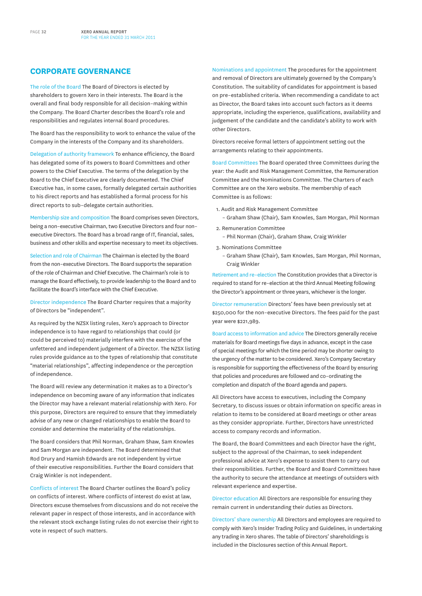#### **CORPORATE GOVERNANCE**

The role of the Board The Board of Directors is elected by shareholders to govern Xero in their interests. The Board is the overall and final body responsible for all decision–making within the Company. The Board Charter describes the Board's role and responsibilities and regulates internal Board procedures.

The Board has the responsibility to work to enhance the value of the Company in the interests of the Company and its shareholders.

Delegation of authority framework To enhance efficiency, the Board has delegated some of its powers to Board Committees and other powers to the Chief Executive. The terms of the delegation by the Board to the Chief Executive are clearly documented. The Chief Executive has, in some cases, formally delegated certain authorities to his direct reports and has established a formal process for his direct reports to sub–delegate certain authorities.

Membership size and composition The Board comprises seven Directors, being a non–executive Chairman, two Executive Directors and four non– executive Directors. The Board has a broad range of IT, financial, sales, business and other skills and expertise necessary to meet its objectives.

Selection and role of Chairman The Chairman is elected by the Board from the non–executive Directors. The Board supports the separation of the role of Chairman and Chief Executive. The Chairman's role is to manage the Board effectively, to provide leadership to the Board and to facilitate the Board's interface with the Chief Executive.

Director independence The Board Charter requires that a majority of Directors be "independent".

As required by the NZSX listing rules, Xero's approach to Director independence is to have regard to relationships that could (or could be perceived to) materially interfere with the exercise of the unfettered and independent judgement of a Director. The NZSX listing rules provide guidance as to the types of relationship that constitute "material relationships", affecting independence or the perception of independence.

The Board will review any determination it makes as to a Director's independence on becoming aware of any information that indicates the Director may have a relevant material relationship with Xero. For this purpose, Directors are required to ensure that they immediately advise of any new or changed relationships to enable the Board to consider and determine the materiality of the relationships.

The Board considers that Phil Norman, Graham Shaw, Sam Knowles and Sam Morgan are independent. The Board determined that Rod Drury and Hamish Edwards are not independent by virtue of their executive responsibilities. Further the Board considers that Craig Winkler is not independent.

Conflicts of interest The Board Charter outlines the Board's policy on conflicts of interest. Where conflicts of interest do exist at law, Directors excuse themselves from discussions and do not receive the relevant paper in respect of those interests, and in accordance with the relevant stock exchange listing rules do not exercise their right to vote in respect of such matters.

Nominations and appointment The procedures for the appointment and removal of Directors are ultimately governed by the Company's Constitution. The suitability of candidates for appointment is based on pre–established criteria. When recommending a candidate to act as Director, the Board takes into account such factors as it deems appropriate, including the experience, qualifications, availability and judgement of the candidate and the candidate's ability to work with other Directors.

Directors receive formal letters of appointment setting out the arrangements relating to their appointments.

Board Committees The Board operated three Committees during the year: the Audit and Risk Management Committee, the Remuneration Committee and the Nominations Committee. The Charters of each Committee are on the Xero website. The membership of each Committee is as follows:

- 1. Audit and Risk Management Committee
	- Graham Shaw (Chair), Sam Knowles, Sam Morgan, Phil Norman
- 2. Remuneration Committee
	- Phil Norman (Chair), Graham Shaw, Craig Winkler
- 3. Nominations Committee
	- Graham Shaw (Chair), Sam Knowles, Sam Morgan, Phil Norman, Craig Winkler

Retirement and re–election The Constitution provides that a Director is required to stand for re–election at the third Annual Meeting following the Director's appointment or three years, whichever is the longer.

Director remuneration Directors' fees have been previously set at \$250,000 for the non–executive Directors. The fees paid for the past year were \$221,989.

Board access to information and advice The Directors generally receive materials for Board meetings five days in advance, except in the case of special meetings for which the time period may be shorter owing to the urgency of the matter to be considered. Xero's Company Secretary is responsible for supporting the effectiveness of the Board by ensuring that policies and procedures are followed and co–ordinating the completion and dispatch of the Board agenda and papers.

All Directors have access to executives, including the Company Secretary, to discuss issues or obtain information on specific areas in relation to items to be considered at Board meetings or other areas as they consider appropriate. Further, Directors have unrestricted access to company records and information.

The Board, the Board Committees and each Director have the right, subject to the approval of the Chairman, to seek independent professional advice at Xero's expense to assist them to carry out their responsibilities. Further, the Board and Board Committees have the authority to secure the attendance at meetings of outsiders with relevant experience and expertise.

Director education All Directors are responsible for ensuring they remain current in understanding their duties as Directors.

Directors' share ownership All Directors and employees are required to comply with Xero's Insider Trading Policy and Guidelines, in undertaking any trading in Xero shares. The table of Directors' shareholdings is included in the Disclosures section of this Annual Report.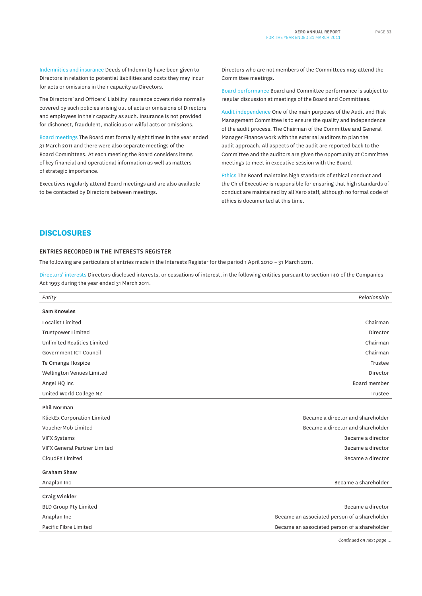Indemnities and insurance Deeds of Indemnity have been given to Directors in relation to potential liabilities and costs they may incur for acts or omissions in their capacity as Directors.

The Directors' and Officers' Liability insurance covers risks normally covered by such policies arising out of acts or omissions of Directors and employees in their capacity as such. Insurance is not provided for dishonest, fraudulent, malicious or wilful acts or omissions.

Board meetings The Board met formally eight times in the year ended 31 March 2011 and there were also separate meetings of the Board Committees. At each meeting the Board considers items of key financial and operational information as well as matters of strategic importance.

Executives regularly attend Board meetings and are also available to be contacted by Directors between meetings.

Directors who are not members of the Committees may attend the Committee meetings.

Board performance Board and Committee performance is subject to regular discussion at meetings of the Board and Committees.

Audit independence One of the main purposes of the Audit and Risk Management Committee is to ensure the quality and independence of the audit process. The Chairman of the Committee and General Manager Finance work with the external auditors to plan the audit approach. All aspects of the audit are reported back to the Committee and the auditors are given the opportunity at Committee meetings to meet in executive session with the Board.

Ethics The Board maintains high standards of ethical conduct and the Chief Executive is responsible for ensuring that high standards of conduct are maintained by all Xero staff, although no formal code of ethics is documented at this time.

#### **DISCLOSURES**

#### **ENTRIES RECORDED IN THE INTERESTS REGISTER**

The following are particulars of entries made in the Interests Register for the period 1 April 2010 – 31 March 2011.

Directors' interests Directors disclosed interests, or cessations of interest, in the following entities pursuant to section 140 of the Companies Act 1993 during the year ended 31 March 2011.

| Entity                              | Relationship                                 |
|-------------------------------------|----------------------------------------------|
| <b>Sam Knowles</b>                  |                                              |
| Localist Limited                    | Chairman                                     |
| <b>Trustpower Limited</b>           | Director                                     |
| <b>Unlimited Realities Limited</b>  | Chairman                                     |
| Government ICT Council              | Chairman                                     |
| Te Omanga Hospice                   | Trustee                                      |
| Wellington Venues Limited           | Director                                     |
| Angel HQ Inc                        | Board member                                 |
| United World College NZ             | Trustee                                      |
| Phil Norman                         |                                              |
| KlickEx Corporation Limited         | Became a director and shareholder            |
| VoucherMob Limited                  | Became a director and shareholder            |
| <b>VIFX Systems</b>                 | Became a director                            |
| <b>VIFX General Partner Limited</b> | Became a director                            |
| CloudFX Limited                     | Became a director                            |
| <b>Graham Shaw</b>                  |                                              |
| Anaplan Inc                         | Became a shareholder                         |
| Craig Winkler                       |                                              |
| <b>BLD Group Pty Limited</b>        | Became a director                            |
| Anaplan Inc                         | Became an associated person of a shareholder |
| Pacific Fibre Limited               | Became an associated person of a shareholder |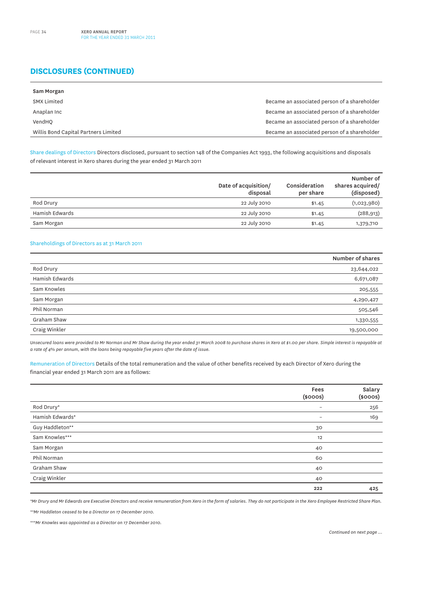## **DISCLOSURES (CONTINUED)**

| Sam Morgan                           |                                              |
|--------------------------------------|----------------------------------------------|
| SMX Limited                          | Became an associated person of a shareholder |
| Anaplan Inc                          | Became an associated person of a shareholder |
| VendHO                               | Became an associated person of a shareholder |
| Willis Bond Capital Partners Limited | Became an associated person of a shareholder |

Share dealings of Directors Directors disclosed, pursuant to section 148 of the Companies Act 1993, the following acquisitions and disposals of relevant interest in Xero shares during the year ended 31 March 2011

|                | Date of acquisition/<br>disposal | Consideration<br>per share | Number of<br>shares acquired/<br>(disposed) |
|----------------|----------------------------------|----------------------------|---------------------------------------------|
| Rod Drury      | 22 July 2010                     | \$1.45                     | (1,023,980)                                 |
| Hamish Edwards | 22 July 2010                     | \$1.45                     | (288, 913)                                  |
| Sam Morgan     | 22 July 2010                     | \$1.45                     | 1,379,710                                   |

#### Shareholdings of Directors as at 31 March 2011

|                | Number of shares |
|----------------|------------------|
| Rod Drury      | 23,644,022       |
| Hamish Edwards | 6,671,087        |
| Sam Knowles    | 205,555          |
| Sam Morgan     | 4,290,427        |
| Phil Norman    | 505,546          |
| Graham Shaw    | 1,330,555        |
| Craig Winkler  | 19,500,000       |

*Unsecured loans were provided to Mr Norman and Mr Shaw during the year ended 31 March 2008 to purchase shares in Xero at \$1.00 per share. Simple interest is repayable at a rate of 4% per annum, with the loans being repayable five years after the date of issue.*

Remuneration of Directors Details of the total remuneration and the value of other benefits received by each Director of Xero during the financial year ended 31 March 2011 are as follows:

|                 | Fees<br>$(s$ ooos $)$    | Salary<br>$(s$ ooos $)$ |
|-----------------|--------------------------|-------------------------|
| Rod Drury*      | $\overline{\phantom{m}}$ | 256                     |
| Hamish Edwards* |                          | 169                     |
| Guy Haddleton** | 30                       |                         |
| Sam Knowles***  | 12                       |                         |
| Sam Morgan      | 40                       |                         |
| Phil Norman     | 60                       |                         |
| Graham Shaw     | 40                       |                         |
| Craig Winkler   | 40                       |                         |
|                 | 222                      | 425                     |

*\*Mr Drury and Mr Edwards are Executive Directors and receive remuneration from Xero in the form of salaries. They do not participate in the Xero Employee Restricted Share Plan.*

*\*\*Mr Haddleton ceased to be a Director on 17 December 2010.*

*\*\*\*Mr Knowles was appointed as a Director on 17 December 2010.*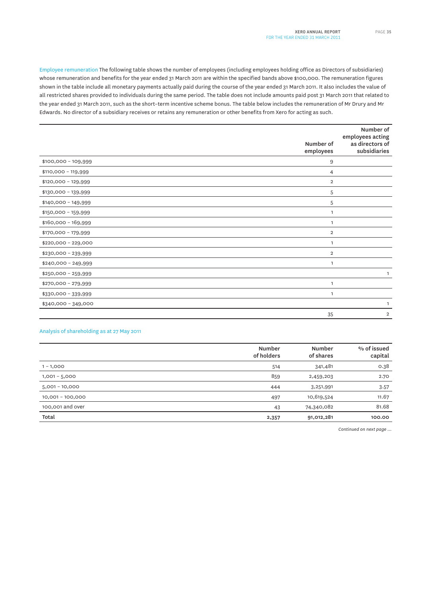Employee remuneration The following table shows the number of employees (including employees holding office as Directors of subsidiaries) whose remuneration and benefits for the year ended 31 March 2011 are within the specified bands above \$100,000. The remuneration figures shown in the table include all monetary payments actually paid during the course of the year ended 31 March 2011. It also includes the value of all restricted shares provided to individuals during the same period. The table does not include amounts paid post 31 March 2011 that related to the year ended 31 March 2011, such as the short–term incentive scheme bonus. The table below includes the remuneration of Mr Drury and Mr Edwards. No director of a subsidiary receives or retains any remuneration or other benefits from Xero for acting as such.

|                      | Number of<br>employees | Number of<br>employees acting<br>as directors of<br>subsidiaries |
|----------------------|------------------------|------------------------------------------------------------------|
| $$100,000 - 109,999$ | 9                      |                                                                  |
| $$110,000 - 119,999$ | 4                      |                                                                  |
| $$120,000 - 129,999$ | $\overline{2}$         |                                                                  |
| \$130,000 - 139,999  | 5                      |                                                                  |
| $$140,000 - 149,999$ | 5                      |                                                                  |
| $$150,000 - 159,999$ | $\mathbf{1}$           |                                                                  |
| $$160,000 - 169,999$ | $\mathbf{1}$           |                                                                  |
| \$170,000 - 179,999  | $\overline{2}$         |                                                                  |
| $$220,000 - 229,000$ | $\mathbf{1}$           |                                                                  |
| \$230,000 - 239,999  | $\overline{2}$         |                                                                  |
| $$240,000 - 249,999$ | 1                      |                                                                  |
| \$250,000 - 259,999  |                        | 1                                                                |
| $$270,000 - 279,999$ | $\mathbf{1}$           |                                                                  |
| \$330,000 - 339,999  | 1                      |                                                                  |
| $$340,000 - 349,000$ |                        | 1                                                                |
|                      | 35                     | $\overline{2}$                                                   |

#### Analysis of shareholding as at 27 May 2011

|                  | Number<br>of holders | <b>Number</b><br>of shares | % of issued<br>capital |
|------------------|----------------------|----------------------------|------------------------|
| $1 - 1,000$      | 514                  | 341,481                    | 0.38                   |
| $1,001 - 5,000$  | 859                  | 2,459,203                  | 2.70                   |
| $5,001 - 10,000$ | 444                  | 3,251,991                  | 3.57                   |
| 10,001 - 100,000 | 497                  | 10,619,524                 | 11.67                  |
| 100,001 and over | 43                   | 74,340,082                 | 81.68                  |
| Total            | 2,357                | 91,012,281                 | 100.00                 |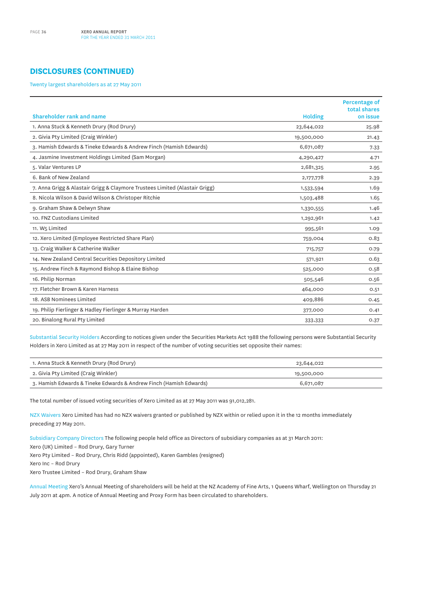## **DISCLOSURES (CONTINUED)**

Twenty largest shareholders as at 27 May 2011

| Shareholder rank and name                                                   |                | Percentage of<br>total shares |
|-----------------------------------------------------------------------------|----------------|-------------------------------|
|                                                                             | <b>Holding</b> | on issue                      |
| 1. Anna Stuck & Kenneth Drury (Rod Drury)                                   | 23,644,022     | 25.98                         |
| 2. Givia Pty Limited (Craig Winkler)                                        | 19,500,000     | 21.43                         |
| 3. Hamish Edwards & Tineke Edwards & Andrew Finch (Hamish Edwards)          | 6,671,087      | 7.33                          |
| 4. Jasmine Investment Holdings Limited (Sam Morgan)                         | 4,290,427      | 4.71                          |
| 5. Valar Ventures LP                                                        | 2,681,325      | 2.95                          |
| 6. Bank of New Zealand                                                      | 2,177,778      | 2.39                          |
| 7. Anna Grigg & Alastair Grigg & Claymore Trustees Limited (Alastair Grigg) | 1,533,594      | 1.69                          |
| 8. Nicola Wilson & David Wilson & Christoper Ritchie                        | 1,503,488      | 1.65                          |
| 9. Graham Shaw & Delwyn Shaw                                                | 1,330,555      | 1.46                          |
| 10. FNZ Custodians Limited                                                  | 1,292,961      | 1.42                          |
| 11. W5 Limited                                                              | 995,561        | 1.09                          |
| 12. Xero Limited (Employee Restricted Share Plan)                           | 759,004        | 0.83                          |
| 13. Craig Walker & Catherine Walker                                         | 715,757        | 0.79                          |
| 14. New Zealand Central Securities Depository Limited                       | 571,921        | 0.63                          |
| 15. Andrew Finch & Raymond Bishop & Elaine Bishop                           | 525,000        | 0.58                          |
| 16. Philip Norman                                                           | 505,546        | 0.56                          |
| 17. Fletcher Brown & Karen Harness                                          | 464,000        | O.51                          |
| 18. ASB Nominees Limited                                                    | 409,886        | 0.45                          |
| 19. Philip Fierlinger & Hadley Fierlinger & Murray Harden                   | 377,000        | 0.41                          |
| 20. Binalong Rural Pty Limited                                              | 333,333        | 0.37                          |

Substantial Security Holders According to notices given under the Securities Markets Act 1988 the following persons were Substantial Security Holders in Xero Limited as at 27 May 2011 in respect of the number of voting securities set opposite their names:

| 1. Anna Stuck & Kenneth Drury (Rod Drury)                          | 23,644,022 |  |
|--------------------------------------------------------------------|------------|--|
| 2. Givia Pty Limited (Craig Winkler)                               | 19,500,000 |  |
| 3. Hamish Edwards & Tineke Edwards & Andrew Finch (Hamish Edwards) | 6,671,087  |  |

The total number of issued voting securities of Xero Limited as at 27 May 2011 was 91,012,281.

NZX Waivers Xero Limited has had no NZX waivers granted or published by NZX within or relied upon it in the 12 months immediately preceding 27 May 2011.

Subsidiary Company Directors The following people held office as Directors of subsidiary companies as at 31 March 2011:

Xero (UK) Limited – Rod Drury, Gary Turner

Xero Pty Limited – Rod Drury, Chris Ridd (appointed), Karen Gambles (resigned)

Xero Inc – Rod Drury

Xero Trustee Limited – Rod Drury, Graham Shaw

Annual Meeting Xero's Annual Meeting of shareholders will be held at the NZ Academy of Fine Arts, 1 Queens Wharf, Wellington on Thursday 21 July 2011 at 4pm. A notice of Annual Meeting and Proxy Form has been circulated to shareholders.